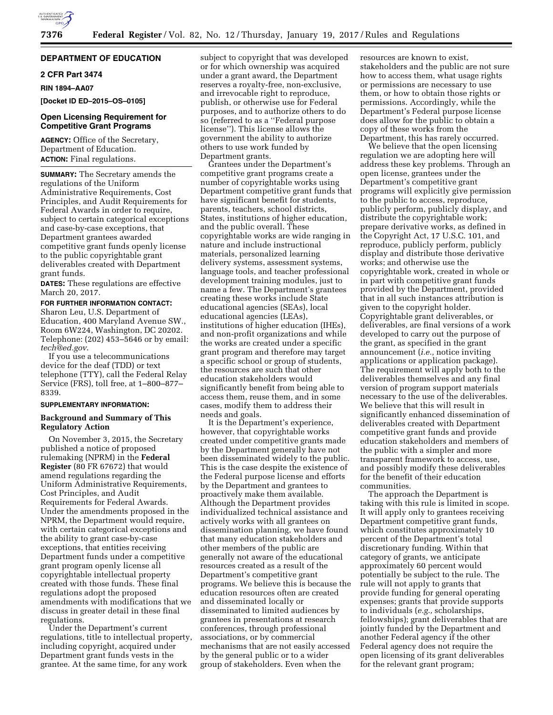

# **DEPARTMENT OF EDUCATION**

# **2 CFR Part 3474**

**RIN 1894–AA07** 

**[Docket ID ED–2015–OS–0105]** 

# **Open Licensing Requirement for Competitive Grant Programs**

**AGENCY:** Office of the Secretary, Department of Education. **ACTION:** Final regulations.

**SUMMARY:** The Secretary amends the regulations of the Uniform Administrative Requirements, Cost Principles, and Audit Requirements for Federal Awards in order to require, subject to certain categorical exceptions and case-by-case exceptions, that Department grantees awarded competitive grant funds openly license to the public copyrightable grant deliverables created with Department grant funds.

**DATES:** These regulations are effective March 20, 2017.

**FOR FURTHER INFORMATION CONTACT:**  Sharon Leu, U.S. Department of Education, 400 Maryland Avenue SW., Room 6W224, Washington, DC 20202. Telephone: (202) 453–5646 or by email: *[tech@ed.gov](mailto:tech@ed.gov)*.

If you use a telecommunications device for the deaf (TDD) or text telephone (TTY), call the Federal Relay Service (FRS), toll free, at 1–800–877– 8339.

### **SUPPLEMENTARY INFORMATION:**

# **Background and Summary of This Regulatory Action**

On November 3, 2015, the Secretary published a notice of proposed rulemaking (NPRM) in the **Federal Register** (80 FR 67672) that would amend regulations regarding the Uniform Administrative Requirements, Cost Principles, and Audit Requirements for Federal Awards. Under the amendments proposed in the NPRM, the Department would require, with certain categorical exceptions and the ability to grant case-by-case exceptions, that entities receiving Department funds under a competitive grant program openly license all copyrightable intellectual property created with those funds. These final regulations adopt the proposed amendments with modifications that we discuss in greater detail in these final regulations.

Under the Department's current regulations, title to intellectual property, including copyright, acquired under Department grant funds vests in the grantee. At the same time, for any work

subject to copyright that was developed or for which ownership was acquired under a grant award, the Department reserves a royalty-free, non-exclusive, and irrevocable right to reproduce, publish, or otherwise use for Federal purposes, and to authorize others to do so (referred to as a ''Federal purpose license''). This license allows the government the ability to authorize others to use work funded by Department grants.

Grantees under the Department's competitive grant programs create a number of copyrightable works using Department competitive grant funds that have significant benefit for students, parents, teachers, school districts, States, institutions of higher education, and the public overall. These copyrightable works are wide ranging in nature and include instructional materials, personalized learning delivery systems, assessment systems, language tools, and teacher professional development training modules, just to name a few. The Department's grantees creating these works include State educational agencies (SEAs), local educational agencies (LEAs), institutions of higher education (IHEs), and non-profit organizations and while the works are created under a specific grant program and therefore may target a specific school or group of students, the resources are such that other education stakeholders would significantly benefit from being able to access them, reuse them, and in some cases, modify them to address their needs and goals.

It is the Department's experience, however, that copyrightable works created under competitive grants made by the Department generally have not been disseminated widely to the public. This is the case despite the existence of the Federal purpose license and efforts by the Department and grantees to proactively make them available. Although the Department provides individualized technical assistance and actively works with all grantees on dissemination planning, we have found that many education stakeholders and other members of the public are generally not aware of the educational resources created as a result of the Department's competitive grant programs. We believe this is because the education resources often are created and disseminated locally or disseminated to limited audiences by grantees in presentations at research conferences, through professional associations, or by commercial mechanisms that are not easily accessed by the general public or to a wider group of stakeholders. Even when the

resources are known to exist stakeholders and the public are not sure how to access them, what usage rights or permissions are necessary to use them, or how to obtain those rights or permissions. Accordingly, while the Department's Federal purpose license does allow for the public to obtain a copy of these works from the Department, this has rarely occurred.

We believe that the open licensing regulation we are adopting here will address these key problems. Through an open license, grantees under the Department's competitive grant programs will explicitly give permission to the public to access, reproduce, publicly perform, publicly display, and distribute the copyrightable work; prepare derivative works, as defined in the Copyright Act, 17 U.S.C. 101, and reproduce, publicly perform, publicly display and distribute those derivative works; and otherwise use the copyrightable work, created in whole or in part with competitive grant funds provided by the Department, provided that in all such instances attribution is given to the copyright holder. Copyrightable grant deliverables, or deliverables, are final versions of a work developed to carry out the purpose of the grant, as specified in the grant announcement (*i.e.,* notice inviting applications or application package). The requirement will apply both to the deliverables themselves and any final version of program support materials necessary to the use of the deliverables. We believe that this will result in significantly enhanced dissemination of deliverables created with Department competitive grant funds and provide education stakeholders and members of the public with a simpler and more transparent framework to access, use, and possibly modify these deliverables for the benefit of their education communities.

The approach the Department is taking with this rule is limited in scope. It will apply only to grantees receiving Department competitive grant funds, which constitutes approximately 10 percent of the Department's total discretionary funding. Within that category of grants, we anticipate approximately 60 percent would potentially be subject to the rule. The rule will not apply to grants that provide funding for general operating expenses; grants that provide supports to individuals (*e.g.,* scholarships, fellowships); grant deliverables that are jointly funded by the Department and another Federal agency if the other Federal agency does not require the open licensing of its grant deliverables for the relevant grant program;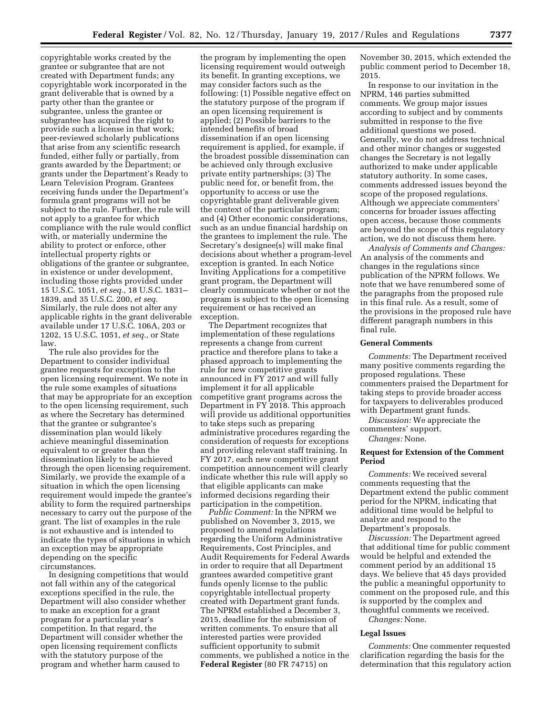copyrightable works created by the grantee or subgrantee that are not created with Department funds; any copyrightable work incorporated in the grant deliverable that is owned by a party other than the grantee or subgrantee, unless the grantee or subgrantee has acquired the right to provide such a license in that work; peer-reviewed scholarly publications that arise from any scientific research funded, either fully or partially, from grants awarded by the Department; or grants under the Department's Ready to Learn Television Program. Grantees receiving funds under the Department's formula grant programs will not be subject to the rule. Further, the rule will not apply to a grantee for which compliance with the rule would conflict with, or materially undermine the ability to protect or enforce, other intellectual property rights or obligations of the grantee or subgrantee, in existence or under development, including those rights provided under 15 U.S.C. 1051, *et seq.,* 18 U.S.C. 1831– 1839, and 35 U.S.C. 200, *et seq.*  Similarly, the rule does not alter any applicable rights in the grant deliverable available under 17 U.S.C. 106A, 203 or 1202, 15 U.S.C. 1051, *et seq.,* or State law.

The rule also provides for the Department to consider individual grantee requests for exception to the open licensing requirement. We note in the rule some examples of situations that may be appropriate for an exception to the open licensing requirement, such as where the Secretary has determined that the grantee or subgrantee's dissemination plan would likely achieve meaningful dissemination equivalent to or greater than the dissemination likely to be achieved through the open licensing requirement. Similarly, we provide the example of a situation in which the open licensing requirement would impede the grantee's ability to form the required partnerships necessary to carry out the purpose of the grant. The list of examples in the rule is not exhaustive and is intended to indicate the types of situations in which an exception may be appropriate depending on the specific circumstances.

In designing competitions that would not fall within any of the categorical exceptions specified in the rule, the Department will also consider whether to make an exception for a grant program for a particular year's competition. In that regard, the Department will consider whether the open licensing requirement conflicts with the statutory purpose of the program and whether harm caused to

the program by implementing the open licensing requirement would outweigh its benefit. In granting exceptions, we may consider factors such as the following: (1) Possible negative effect on the statutory purpose of the program if an open licensing requirement is applied; (2) Possible barriers to the intended benefits of broad dissemination if an open licensing requirement is applied, for example, if the broadest possible dissemination can be achieved only through exclusive private entity partnerships; (3) The public need for, or benefit from, the opportunity to access or use the copyrightable grant deliverable given the context of the particular program; and (4) Other economic considerations, such as an undue financial hardship on the grantees to implement the rule. The Secretary's designee(s) will make final decisions about whether a program-level exception is granted. In each Notice Inviting Applications for a competitive grant program, the Department will clearly communicate whether or not the program is subject to the open licensing requirement or has received an exception.

The Department recognizes that implementation of these regulations represents a change from current practice and therefore plans to take a phased approach to implementing the rule for new competitive grants announced in FY 2017 and will fully implement it for all applicable competitive grant programs across the Department in FY 2018. This approach will provide us additional opportunities to take steps such as preparing administrative procedures regarding the consideration of requests for exceptions and providing relevant staff training. In FY 2017, each new competitive grant competition announcement will clearly indicate whether this rule will apply so that eligible applicants can make informed decisions regarding their participation in the competition.

*Public Comment:* In the NPRM we published on November 3, 2015, we proposed to amend regulations regarding the Uniform Administrative Requirements, Cost Principles, and Audit Requirements for Federal Awards in order to require that all Department grantees awarded competitive grant funds openly license to the public copyrightable intellectual property created with Department grant funds. The NPRM established a December 3, 2015, deadline for the submission of written comments. To ensure that all interested parties were provided sufficient opportunity to submit comments, we published a notice in the **Federal Register** (80 FR 74715) on

November 30, 2015, which extended the public comment period to December 18, 2015.

In response to our invitation in the NPRM, 146 parties submitted comments. We group major issues according to subject and by comments submitted in response to the five additional questions we posed. Generally, we do not address technical and other minor changes or suggested changes the Secretary is not legally authorized to make under applicable statutory authority. In some cases, comments addressed issues beyond the scope of the proposed regulations. Although we appreciate commenters' concerns for broader issues affecting open access, because those comments are beyond the scope of this regulatory action, we do not discuss them here.

*Analysis of Comments and Changes:*  An analysis of the comments and changes in the regulations since publication of the NPRM follows. We note that we have renumbered some of the paragraphs from the proposed rule in this final rule. As a result, some of the provisions in the proposed rule have different paragraph numbers in this final rule.

### **General Comments**

*Comments:* The Department received many positive comments regarding the proposed regulations. These commenters praised the Department for taking steps to provide broader access for taxpayers to deliverables produced with Department grant funds.

*Discussion:* We appreciate the commenters' support.

*Changes:* None.

# **Request for Extension of the Comment Period**

*Comments:* We received several comments requesting that the Department extend the public comment period for the NPRM, indicating that additional time would be helpful to analyze and respond to the Department's proposals.

*Discussion:* The Department agreed that additional time for public comment would be helpful and extended the comment period by an additional 15 days. We believe that 45 days provided the public a meaningful opportunity to comment on the proposed rule, and this is supported by the complex and thoughtful comments we received.

*Changes:* None.

#### **Legal Issues**

*Comments:* One commenter requested clarification regarding the basis for the determination that this regulatory action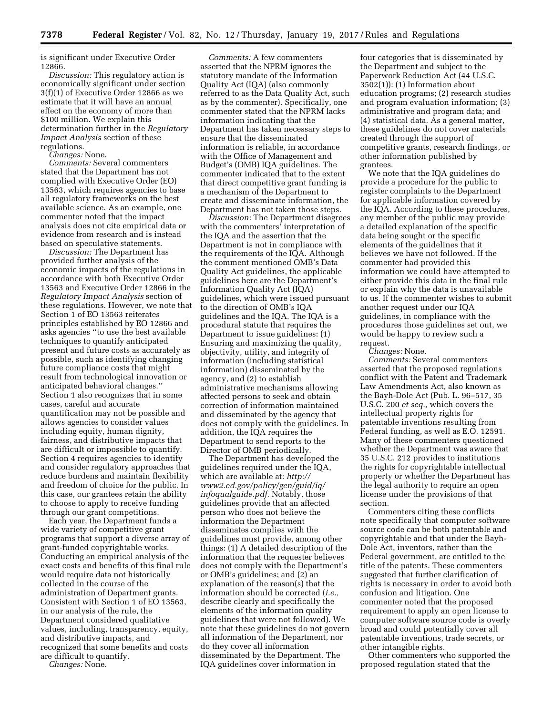is significant under Executive Order 12866.

*Discussion:* This regulatory action is economically significant under section 3(f)(1) of Executive Order 12866 as we estimate that it will have an annual effect on the economy of more than \$100 million. We explain this determination further in the *Regulatory Impact Analysis* section of these regulations.

*Changes:* None.

*Comments:* Several commenters stated that the Department has not complied with Executive Order (EO) 13563, which requires agencies to base all regulatory frameworks on the best available science. As an example, one commenter noted that the impact analysis does not cite empirical data or evidence from research and is instead based on speculative statements.

*Discussion:* The Department has provided further analysis of the economic impacts of the regulations in accordance with both Executive Order 13563 and Executive Order 12866 in the *Regulatory Impact Analysis* section of these regulations. However, we note that Section 1 of EO 13563 reiterates principles established by EO 12866 and asks agencies ''to use the best available techniques to quantify anticipated present and future costs as accurately as possible, such as identifying changing future compliance costs that might result from technological innovation or anticipated behavioral changes.'' Section 1 also recognizes that in some cases, careful and accurate quantification may not be possible and allows agencies to consider values including equity, human dignity, fairness, and distributive impacts that are difficult or impossible to quantify. Section 4 requires agencies to identify and consider regulatory approaches that reduce burdens and maintain flexibility and freedom of choice for the public. In this case, our grantees retain the ability to choose to apply to receive funding through our grant competitions.

Each year, the Department funds a wide variety of competitive grant programs that support a diverse array of grant-funded copyrightable works. Conducting an empirical analysis of the exact costs and benefits of this final rule would require data not historically collected in the course of the administration of Department grants. Consistent with Section 1 of EO 13563, in our analysis of the rule, the Department considered qualitative values, including, transparency, equity, and distributive impacts, and recognized that some benefits and costs are difficult to quantify.

*Changes:* None.

*Comments:* A few commenters asserted that the NPRM ignores the statutory mandate of the Information Quality Act (IQA) (also commonly referred to as the Data Quality Act, such as by the commenter). Specifically, one commenter stated that the NPRM lacks information indicating that the Department has taken necessary steps to ensure that the disseminated information is reliable, in accordance with the Office of Management and Budget's (OMB) IQA guidelines. The commenter indicated that to the extent that direct competitive grant funding is a mechanism of the Department to create and disseminate information, the Department has not taken those steps.

*Discussion:* The Department disagrees with the commenters' interpretation of the IQA and the assertion that the Department is not in compliance with the requirements of the IQA. Although the comment mentioned OMB's Data Quality Act guidelines, the applicable guidelines here are the Department's Information Quality Act (IQA) guidelines, which were issued pursuant to the direction of OMB's IQA guidelines and the IQA. The IQA is a procedural statute that requires the Department to issue guidelines: (1) Ensuring and maximizing the quality, objectivity, utility, and integrity of information (including statistical information) disseminated by the agency, and (2) to establish administrative mechanisms allowing affected persons to seek and obtain correction of information maintained and disseminated by the agency that does not comply with the guidelines. In addition, the IQA requires the Department to send reports to the Director of OMB periodically.

The Department has developed the guidelines required under the IQA, which are available at: *[http://](http://www2.ed.gov/policy/gen/guid/iq/infoqualguide.pdf)  [www2.ed.gov/policy/gen/guid/iq/](http://www2.ed.gov/policy/gen/guid/iq/infoqualguide.pdf) [infoqualguide.pdf](http://www2.ed.gov/policy/gen/guid/iq/infoqualguide.pdf)*. Notably, those guidelines provide that an affected person who does not believe the information the Department disseminates complies with the guidelines must provide, among other things: (1) A detailed description of the information that the requester believes does not comply with the Department's or OMB's guidelines; and (2) an explanation of the reason(s) that the information should be corrected (*i.e.,*  describe clearly and specifically the elements of the information quality guidelines that were not followed). We note that these guidelines do not govern all information of the Department, nor do they cover all information disseminated by the Department. The IQA guidelines cover information in

four categories that is disseminated by the Department and subject to the Paperwork Reduction Act (44 U.S.C. 3502(1)): (1) Information about education programs; (2) research studies and program evaluation information; (3) administrative and program data; and (4) statistical data. As a general matter, these guidelines do not cover materials created through the support of competitive grants, research findings, or other information published by grantees.

We note that the IQA guidelines do provide a procedure for the public to register complaints to the Department for applicable information covered by the IQA. According to these procedures, any member of the public may provide a detailed explanation of the specific data being sought or the specific elements of the guidelines that it believes we have not followed. If the commenter had provided this information we could have attempted to either provide this data in the final rule or explain why the data is unavailable to us. If the commenter wishes to submit another request under our IQA guidelines, in compliance with the procedures those guidelines set out, we would be happy to review such a request.

*Changes:* None.

*Comments:* Several commenters asserted that the proposed regulations conflict with the Patent and Trademark Law Amendments Act, also known as the Bayh-Dole Act (Pub. L. 96–517, 35 U.S.C. 200 *et seq.,* which covers the intellectual property rights for patentable inventions resulting from Federal funding, as well as E.O. 12591. Many of these commenters questioned whether the Department was aware that 35 U.S.C. 212 provides to institutions the rights for copyrightable intellectual property or whether the Department has the legal authority to require an open license under the provisions of that section.

Commenters citing these conflicts note specifically that computer software source code can be both patentable and copyrightable and that under the Bayh-Dole Act, inventors, rather than the Federal government, are entitled to the title of the patents. These commenters suggested that further clarification of rights is necessary in order to avoid both confusion and litigation. One commenter noted that the proposed requirement to apply an open license to computer software source code is overly broad and could potentially cover all patentable inventions, trade secrets, or other intangible rights.

Other commenters who supported the proposed regulation stated that the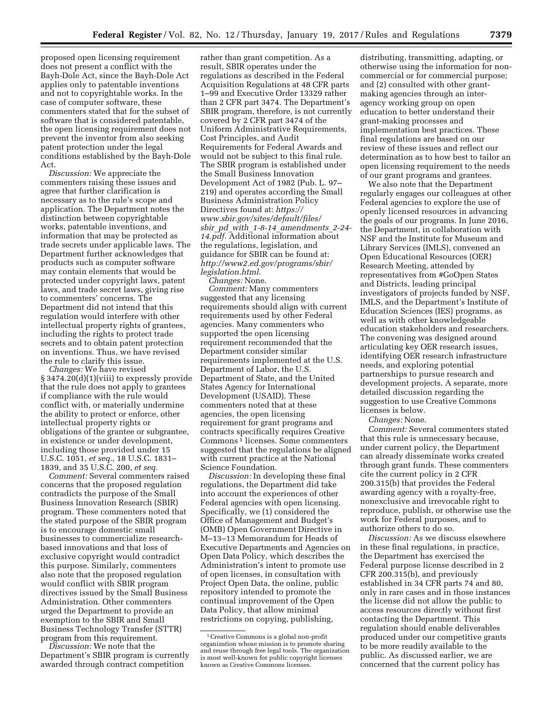proposed open licensing requirement does not present a conflict with the Bayh-Dole Act, since the Bayh-Dole Act applies only to patentable inventions and not to copyrightable works. In the case of computer software, these commenters stated that for the subset of software that is considered patentable, the open licensing requirement does not prevent the inventor from also seeking patent protection under the legal conditions established by the Bayh-Dole Act.

*Discussion:* We appreciate the commenters raising these issues and agree that further clarification is necessary as to the rule's scope and application. The Department notes the distinction between copyrightable works, patentable inventions, and information that may be protected as trade secrets under applicable laws. The Department further acknowledges that products such as computer software may contain elements that would be protected under copyright laws, patent laws, and trade secret laws, giving rise to commenters' concerns. The Department did not intend that this regulation would interfere with other intellectual property rights of grantees, including the rights to protect trade secrets and to obtain patent protection on inventions. Thus, we have revised the rule to clarify this issue.

*Changes:* We have revised § 3474.20(d)(1)(viii) to expressly provide that the rule does not apply to grantees if compliance with the rule would conflict with, or materially undermine the ability to protect or enforce, other intellectual property rights or obligations of the grantee or subgrantee, in existence or under development, including those provided under 15 U.S.C. 1051, *et seq.,* 18 U.S.C. 1831– 1839, and 35 U.S.C. 200, *et seq.* 

*Comment:* Several commenters raised concerns that the proposed regulation contradicts the purpose of the Small Business Innovation Research (SBIR) program. These commenters noted that the stated purpose of the SBIR program is to encourage domestic small businesses to commercialize researchbased innovations and that loss of exclusive copyright would contradict this purpose. Similarly, commenters also note that the proposed regulation would conflict with SBIR program directives issued by the Small Business Administration. Other commenters urged the Department to provide an exemption to the SBIR and Small Business Technology Transfer (STTR) program from this requirement.

*Discussion:* We note that the Department's SBIR program is currently awarded through contract competition

rather than grant competition. As a result, SBIR operates under the regulations as described in the Federal Acquisition Regulations at 48 CFR parts 1–99 and Executive Order 13329 rather than 2 CFR part 3474. The Department's SBIR program, therefore, is not currently covered by 2 CFR part 3474 of the Uniform Administrative Requirements, Cost Principles, and Audit Requirements for Federal Awards and would not be subject to this final rule. The SBIR program is established under the Small Business Innovation Development Act of 1982 (Pub. L. 97– 219) and operates according the Small Business Administration Policy Directives found at: *[https://](https://www.sbir.gov/sites/default/files/sbir_pd_with_1-8-14_amendments_2-24-14.pdf)  [www.sbir.gov/sites/default/files/](https://www.sbir.gov/sites/default/files/sbir_pd_with_1-8-14_amendments_2-24-14.pdf)  sbir*\_*pd*\_*with*\_*1-8-14*\_*[amendments](https://www.sbir.gov/sites/default/files/sbir_pd_with_1-8-14_amendments_2-24-14.pdf)*\_*2-24- [14.pdf](https://www.sbir.gov/sites/default/files/sbir_pd_with_1-8-14_amendments_2-24-14.pdf)*. Additional information about the regulations, legislation, and guidance for SBIR can be found at: *[http://www2.ed.gov/programs/sbir/](http://www2.ed.gov/programs/sbir/legislation.html) [legislation.html](http://www2.ed.gov/programs/sbir/legislation.html)*.

*Changes:* None. *Comment:* Many commenters suggested that any licensing requirements should align with current requirements used by other Federal agencies. Many commenters who supported the open licensing requirement recommended that the Department consider similar requirements implemented at the U.S. Department of Labor, the U.S. Department of State, and the United States Agency for International Development (USAID). These commenters noted that at these agencies, the open licensing requirement for grant programs and contracts specifically requires Creative Commons 1 licenses. Some commenters suggested that the regulations be aligned with current practice at the National Science Foundation.

*Discussion:* In developing these final regulations, the Department did take into account the experiences of other Federal agencies with open licensing. Specifically, we (1) considered the Office of Management and Budget's (OMB) Open Government Directive in M–13–13 Memorandum for Heads of Executive Departments and Agencies on Open Data Policy, which describes the Administration's intent to promote use of open licenses, in consultation with Project Open Data, the online, public repository intended to promote the continual improvement of the Open Data Policy, that allow minimal restrictions on copying, publishing,

distributing, transmitting, adapting, or otherwise using the information for noncommercial or for commercial purpose; and (2) consulted with other grantmaking agencies through an interagency working group on open education to better understand their grant-making processes and implementation best practices. These final regulations are based on our review of these issues and reflect our determination as to how best to tailor an open licensing requirement to the needs of our grant programs and grantees.

We also note that the Department regularly engages our colleagues at other Federal agencies to explore the use of openly licensed resources in advancing the goals of our programs. In June 2016, the Department, in collaboration with NSF and the Institute for Museum and Library Services (IMLS), convened an Open Educational Resources (OER) Research Meeting, attended by representatives from #GoOpen States and Districts, leading principal investigators of projects funded by NSF, IMLS, and the Department's Institute of Education Sciences (IES) programs, as well as with other knowledgeable education stakeholders and researchers. The convening was designed around articulating key OER research issues, identifying OER research infrastructure needs, and exploring potential partnerships to pursue research and development projects. A separate, more detailed discussion regarding the suggestion to use Creative Commons licenses is below.

*Changes:* None.

*Comment:* Several commenters stated that this rule is unnecessary because, under current policy, the Department can already disseminate works created through grant funds. These commenters cite the current policy in 2 CFR 200.315(b) that provides the Federal awarding agency with a royalty-free, nonexclusive and irrevocable right to reproduce, publish, or otherwise use the work for Federal purposes, and to authorize others to do so.

*Discussion:* As we discuss elsewhere in these final regulations, in practice, the Department has exercised the Federal purpose license described in 2 CFR 200.315(b), and previously established in 34 CFR parts 74 and 80, only in rare cases and in those instances the license did not allow the public to access resources directly without first contacting the Department. This regulation should enable deliverables produced under our competitive grants to be more readily available to the public. As discussed earlier, we are concerned that the current policy has

<sup>1</sup>Creative Commons is a global non-profit organization whose mission is to promote sharing and reuse through free legal tools. The organization is most well-known for public copyright licenses known as Creative Commons licenses.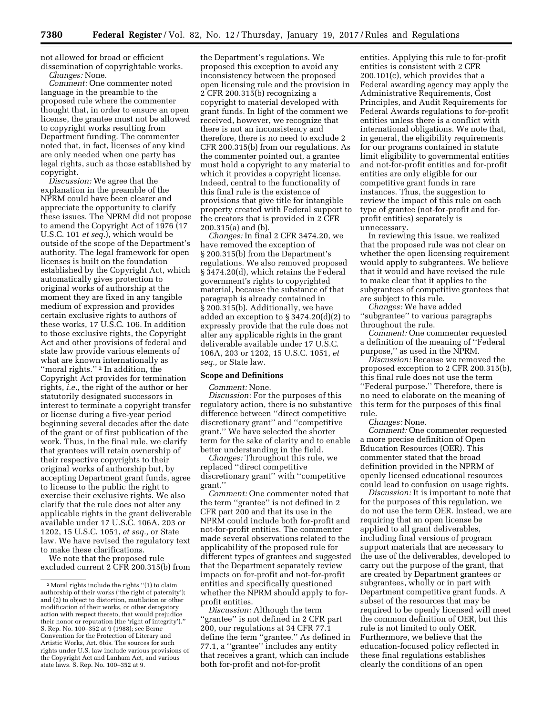not allowed for broad or efficient dissemination of copyrightable works. *Changes:* None.

*Comment:* One commenter noted language in the preamble to the proposed rule where the commenter thought that, in order to ensure an open license, the grantee must not be allowed to copyright works resulting from Department funding. The commenter noted that, in fact, licenses of any kind are only needed when one party has legal rights, such as those established by copyright.

*Discussion:* We agree that the explanation in the preamble of the NPRM could have been clearer and appreciate the opportunity to clarify these issues. The NPRM did not propose to amend the Copyright Act of 1976 (17 U.S.C. 101 *et seq.*), which would be outside of the scope of the Department's authority. The legal framework for open licenses is built on the foundation established by the Copyright Act, which automatically gives protection to original works of authorship at the moment they are fixed in any tangible medium of expression and provides certain exclusive rights to authors of these works, 17 U.S.C. 106. In addition to those exclusive rights, the Copyright Act and other provisions of federal and state law provide various elements of what are known internationally as "moral rights."<sup>2</sup> In addition, the Copyright Act provides for termination rights, *i.e.,* the right of the author or her statutorily designated successors in interest to terminate a copyright transfer or license during a five-year period beginning several decades after the date of the grant or of first publication of the work. Thus, in the final rule, we clarify that grantees will retain ownership of their respective copyrights to their original works of authorship but, by accepting Department grant funds, agree to license to the public the right to exercise their exclusive rights. We also clarify that the rule does not alter any applicable rights in the grant deliverable available under 17 U.S.C. 106A, 203 or 1202, 15 U.S.C. 1051, *et seq.,* or State law. We have revised the regulatory text to make these clarifications.

We note that the proposed rule excluded current 2 CFR 200.315(b) from

the Department's regulations. We proposed this exception to avoid any inconsistency between the proposed open licensing rule and the provision in 2 CFR 200.315(b) recognizing a copyright to material developed with grant funds. In light of the comment we received, however, we recognize that there is not an inconsistency and therefore, there is no need to exclude 2 CFR 200.315(b) from our regulations. As the commenter pointed out, a grantee must hold a copyright to any material to which it provides a copyright license. Indeed, central to the functionality of this final rule is the existence of provisions that give title for intangible property created with Federal support to the creators that is provided in 2 CFR 200.315(a) and (b).

*Changes:* In final 2 CFR 3474.20, we have removed the exception of § 200.315(b) from the Department's regulations. We also removed proposed § 3474.20(d), which retains the Federal government's rights to copyrighted material, because the substance of that paragraph is already contained in § 200.315(b). Additionally, we have added an exception to § 3474.20(d)(2) to expressly provide that the rule does not alter any applicable rights in the grant deliverable available under 17 U.S.C. 106A, 203 or 1202, 15 U.S.C. 1051, *et seq.,* or State law.

#### **Scope and Definitions**

#### *Comment:* None.

*Discussion:* For the purposes of this regulatory action, there is no substantive difference between ''direct competitive discretionary grant'' and ''competitive grant.'' We have selected the shorter term for the sake of clarity and to enable better understanding in the field.

*Changes:* Throughout this rule, we replaced ''direct competitive discretionary grant'' with ''competitive grant.''

*Comment:* One commenter noted that the term ''grantee'' is not defined in 2 CFR part 200 and that its use in the NPRM could include both for-profit and not-for-profit entities. The commenter made several observations related to the applicability of the proposed rule for different types of grantees and suggested that the Department separately review impacts on for-profit and not-for-profit entities and specifically questioned whether the NPRM should apply to forprofit entities.

*Discussion:* Although the term 'grantee'' is not defined in 2 CFR part 200, our regulations at 34 CFR 77.1 define the term ''grantee.'' As defined in 77.1, a ''grantee'' includes any entity that receives a grant, which can include both for-profit and not-for-profit

entities. Applying this rule to for-profit entities is consistent with 2 CFR 200.101(c), which provides that a Federal awarding agency may apply the Administrative Requirements, Cost Principles, and Audit Requirements for Federal Awards regulations to for-profit entities unless there is a conflict with international obligations. We note that, in general, the eligibility requirements for our programs contained in statute limit eligibility to governmental entities and not-for-profit entities and for-profit entities are only eligible for our competitive grant funds in rare instances. Thus, the suggestion to review the impact of this rule on each type of grantee (not-for-profit and forprofit entities) separately is unnecessary.

In reviewing this issue, we realized that the proposed rule was not clear on whether the open licensing requirement would apply to subgrantees. We believe that it would and have revised the rule to make clear that it applies to the subgrantees of competitive grantees that are subject to this rule.

*Changes:* We have added ''subgrantee'' to various paragraphs

throughout the rule. *Comment:* One commenter requested a definition of the meaning of ''Federal purpose,'' as used in the NPRM.

*Discussion:* Because we removed the proposed exception to 2 CFR 200.315(b), this final rule does not use the term ''Federal purpose.'' Therefore, there is no need to elaborate on the meaning of this term for the purposes of this final rule.

*Changes:* None.

*Comment:* One commenter requested a more precise definition of Open Education Resources (OER). This commenter stated that the broad definition provided in the NPRM of openly licensed educational resources could lead to confusion on usage rights.

*Discussion:* It is important to note that for the purposes of this regulation, we do not use the term OER. Instead, we are requiring that an open license be applied to all grant deliverables, including final versions of program support materials that are necessary to the use of the deliverables, developed to carry out the purpose of the grant, that are created by Department grantees or subgrantees, wholly or in part with Department competitive grant funds. A subset of the resources that may be required to be openly licensed will meet the common definition of OER, but this rule is not limited to only OER. Furthermore, we believe that the education-focused policy reflected in these final regulations establishes clearly the conditions of an open

 $^{\rm 2}$  Moral rights include the rights ''(1) to claim authorship of their works ('the right of paternity'); and (2) to object to distortion, mutilation or other modification of their works, or other derogatory action with respect thereto, that would prejudice their honor or reputation (the 'right of integrity').'' S. Rep. No. 100–352 at 9 (1988); see Berne Convention for the Protection of Literary and Artistic Works, Art. 6bis. The sources for such rights under U.S. law include various provisions of the Copyright Act and Lanham Act, and various state laws. S. Rep. No. 100–352 at 9.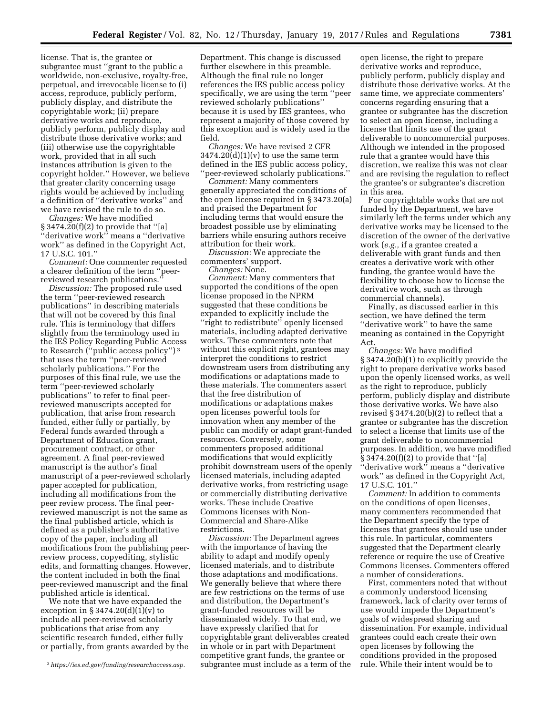license. That is, the grantee or subgrantee must ''grant to the public a worldwide, non-exclusive, royalty-free, perpetual, and irrevocable license to (i) access, reproduce, publicly perform, publicly display, and distribute the copyrightable work; (ii) prepare derivative works and reproduce, publicly perform, publicly display and distribute those derivative works; and (iii) otherwise use the copyrightable work, provided that in all such instances attribution is given to the copyright holder.'' However, we believe that greater clarity concerning usage rights would be achieved by including a definition of ''derivative works'' and we have revised the rule to do so.

*Changes:* We have modified § 3474.20(f)(2) to provide that ''[a] ''derivative work'' means a ''derivative work'' as defined in the Copyright Act, 17 U.S.C. 101.''

*Comment:* One commenter requested a clearer definition of the term ''peerreviewed research publications.''

*Discussion:* The proposed rule used the term ''peer-reviewed research publications'' in describing materials that will not be covered by this final rule. This is terminology that differs slightly from the terminology used in the IES Policy Regarding Public Access to Research (''public access policy'') 3 that uses the term ''peer-reviewed scholarly publications.'' For the purposes of this final rule, we use the term ''peer-reviewed scholarly publications'' to refer to final peerreviewed manuscripts accepted for publication, that arise from research funded, either fully or partially, by Federal funds awarded through a Department of Education grant, procurement contract, or other agreement. A final peer-reviewed manuscript is the author's final manuscript of a peer-reviewed scholarly paper accepted for publication, including all modifications from the peer review process. The final peerreviewed manuscript is not the same as the final published article, which is defined as a publisher's authoritative copy of the paper, including all modifications from the publishing peerreview process, copyediting, stylistic edits, and formatting changes. However, the content included in both the final peer-reviewed manuscript and the final published article is identical.

We note that we have expanded the exception in § 3474.20(d)(1)(v) to include all peer-reviewed scholarly publications that arise from any scientific research funded, either fully or partially, from grants awarded by the

Department. This change is discussed further elsewhere in this preamble. Although the final rule no longer references the IES public access policy specifically, we are using the term ''peer reviewed scholarly publications'' because it is used by IES grantees, who represent a majority of those covered by this exception and is widely used in the field.

*Changes:* We have revised 2 CFR  $3474.20(d)(1)(v)$  to use the same term defined in the IES public access policy, ''peer-reviewed scholarly publications.''

*Comment:* Many commenters generally appreciated the conditions of the open license required in § 3473.20(a) and praised the Department for including terms that would ensure the broadest possible use by eliminating barriers while ensuring authors receive attribution for their work.

*Discussion:* We appreciate the commenters' support.

*Changes:* None.

*Comment:* Many commenters that supported the conditions of the open license proposed in the NPRM suggested that these conditions be expanded to explicitly include the ''right to redistribute'' openly licensed materials, including adapted derivative works. These commenters note that without this explicit right, grantees may interpret the conditions to restrict downstream users from distributing any modifications or adaptations made to these materials. The commenters assert that the free distribution of modifications or adaptations makes open licenses powerful tools for innovation when any member of the public can modify or adapt grant-funded resources. Conversely, some commenters proposed additional modifications that would explicitly prohibit downstream users of the openly licensed materials, including adapted derivative works, from restricting usage or commercially distributing derivative works. These include Creative Commons licenses with Non-Commercial and Share-Alike restrictions.

*Discussion:* The Department agrees with the importance of having the ability to adapt and modify openly licensed materials, and to distribute those adaptations and modifications. We generally believe that where there are few restrictions on the terms of use and distribution, the Department's grant-funded resources will be disseminated widely. To that end, we have expressly clarified that for copyrightable grant deliverables created in whole or in part with Department competitive grant funds, the grantee or subgrantee must include as a term of the

open license, the right to prepare derivative works and reproduce, publicly perform, publicly display and distribute those derivative works. At the same time, we appreciate commenters' concerns regarding ensuring that a grantee or subgrantee has the discretion to select an open license, including a license that limits use of the grant deliverable to noncommercial purposes. Although we intended in the proposed rule that a grantee would have this discretion, we realize this was not clear and are revising the regulation to reflect the grantee's or subgrantee's discretion in this area.

For copyrightable works that are not funded by the Department, we have similarly left the terms under which any derivative works may be licensed to the discretion of the owner of the derivative work (*e.g.,* if a grantee created a deliverable with grant funds and then creates a derivative work with other funding, the grantee would have the flexibility to choose how to license the derivative work, such as through commercial channels).

Finally, as discussed earlier in this section, we have defined the term ''derivative work'' to have the same meaning as contained in the Copyright Act.

*Changes:* We have modified § 3474.20(b)(1) to explicitly provide the right to prepare derivative works based upon the openly licensed works, as well as the right to reproduce, publicly perform, publicly display and distribute those derivative works. We have also revised § 3474.20(b)(2) to reflect that a grantee or subgrantee has the discretion to select a license that limits use of the grant deliverable to noncommercial purposes. In addition, we have modified § 3474.20(f)(2) to provide that ''[a] ''derivative work'' means a ''derivative work'' as defined in the Copyright Act, 17 U.S.C. 101.''

*Comment:* In addition to comments on the conditions of open licenses, many commenters recommended that the Department specify the type of licenses that grantees should use under this rule. In particular, commenters suggested that the Department clearly reference or require the use of Creative Commons licenses. Commenters offered a number of considerations.

First, commenters noted that without a commonly understood licensing framework, lack of clarity over terms of use would impede the Department's goals of widespread sharing and dissemination. For example, individual grantees could each create their own open licenses by following the conditions provided in the proposed rule. While their intent would be to

<sup>3</sup>*[https://ies.ed.gov/funding/researchaccess.asp.](https://ies.ed.gov/funding/researchaccess.asp)*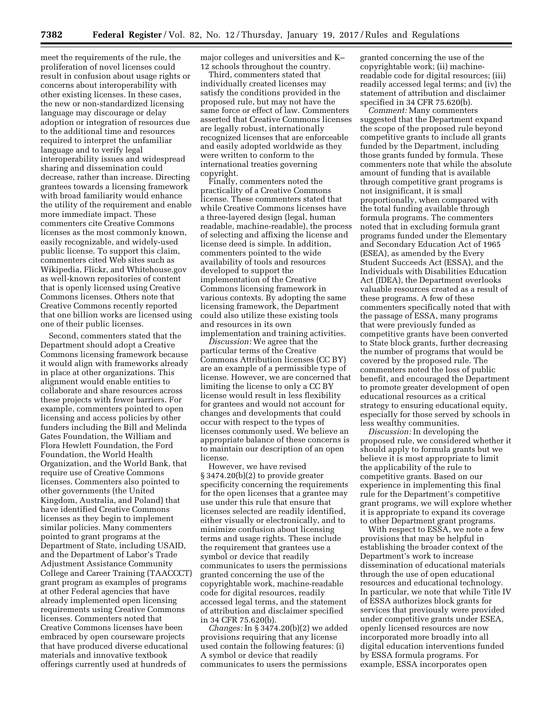meet the requirements of the rule, the proliferation of novel licenses could result in confusion about usage rights or concerns about interoperability with other existing licenses. In these cases, the new or non-standardized licensing language may discourage or delay adoption or integration of resources due to the additional time and resources required to interpret the unfamiliar language and to verify legal interoperability issues and widespread sharing and dissemination could decrease, rather than increase. Directing grantees towards a licensing framework with broad familiarity would enhance the utility of the requirement and enable more immediate impact. These commenters cite Creative Commons licenses as the most commonly known, easily recognizable, and widely-used public license. To support this claim, commenters cited Web sites such as Wikipedia, Flickr, and Whitehouse.gov as well-known repositories of content that is openly licensed using Creative Commons licenses. Others note that Creative Commons recently reported that one billion works are licensed using one of their public licenses.

Second, commenters stated that the Department should adopt a Creative Commons licensing framework because it would align with frameworks already in place at other organizations. This alignment would enable entities to collaborate and share resources across these projects with fewer barriers. For example, commenters pointed to open licensing and access policies by other funders including the Bill and Melinda Gates Foundation, the William and Flora Hewlett Foundation, the Ford Foundation, the World Health Organization, and the World Bank, that require use of Creative Commons licenses. Commenters also pointed to other governments (the United Kingdom, Australia, and Poland) that have identified Creative Commons licenses as they begin to implement similar policies. Many commenters pointed to grant programs at the Department of State, including USAID, and the Department of Labor's Trade Adjustment Assistance Community College and Career Training (TAACCCT) grant program as examples of programs at other Federal agencies that have already implemented open licensing requirements using Creative Commons licenses. Commenters noted that Creative Commons licenses have been embraced by open courseware projects that have produced diverse educational materials and innovative textbook offerings currently used at hundreds of

major colleges and universities and K– 12 schools throughout the country.

Third, commenters stated that individually created licenses may satisfy the conditions provided in the proposed rule, but may not have the same force or effect of law. Commenters asserted that Creative Commons licenses are legally robust, internationally recognized licenses that are enforceable and easily adopted worldwide as they were written to conform to the international treaties governing copyright.

Finally, commenters noted the practicality of a Creative Commons license. These commenters stated that while Creative Commons licenses have a three-layered design (legal, human readable, machine-readable), the process of selecting and affixing the license and license deed is simple. In addition, commenters pointed to the wide availability of tools and resources developed to support the implementation of the Creative Commons licensing framework in various contexts. By adopting the same licensing framework, the Department could also utilize these existing tools and resources in its own implementation and training activities.

*Discussion:* We agree that the particular terms of the Creative Commons Attribution licenses (CC BY) are an example of a permissible type of license. However, we are concerned that limiting the license to only a CC BY license would result in less flexibility for grantees and would not account for changes and developments that could occur with respect to the types of licenses commonly used. We believe an appropriate balance of these concerns is to maintain our description of an open license.

However, we have revised § 3474.20(b)(2) to provide greater specificity concerning the requirements for the open licenses that a grantee may use under this rule that ensure that licenses selected are readily identified, either visually or electronically, and to minimize confusion about licensing terms and usage rights. These include the requirement that grantees use a symbol or device that readily communicates to users the permissions granted concerning the use of the copyrightable work, machine-readable code for digital resources, readily accessed legal terms, and the statement of attribution and disclaimer specified in 34 CFR 75.620(b).

*Changes:* In § 3474.20(b)(2) we added provisions requiring that any license used contain the following features: (i) A symbol or device that readily communicates to users the permissions granted concerning the use of the copyrightable work; (ii) machinereadable code for digital resources; (iii) readily accessed legal terms; and (iv) the statement of attribution and disclaimer specified in 34 CFR 75.620(b).

*Comment:* Many commenters suggested that the Department expand the scope of the proposed rule beyond competitive grants to include all grants funded by the Department, including those grants funded by formula. These commenters note that while the absolute amount of funding that is available through competitive grant programs is not insignificant, it is small proportionally, when compared with the total funding available through formula programs. The commenters noted that in excluding formula grant programs funded under the Elementary and Secondary Education Act of 1965 (ESEA), as amended by the Every Student Succeeds Act (ESSA), and the Individuals with Disabilities Education Act (IDEA), the Department overlooks valuable resources created as a result of these programs. A few of these commenters specifically noted that with the passage of ESSA, many programs that were previously funded as competitive grants have been converted to State block grants, further decreasing the number of programs that would be covered by the proposed rule. The commenters noted the loss of public benefit, and encouraged the Department to promote greater development of open educational resources as a critical strategy to ensuring educational equity, especially for those served by schools in less wealthy communities.

*Discussion:* In developing the proposed rule, we considered whether it should apply to formula grants but we believe it is most appropriate to limit the applicability of the rule to competitive grants. Based on our experience in implementing this final rule for the Department's competitive grant programs, we will explore whether it is appropriate to expand its coverage to other Department grant programs.

With respect to ESSA, we note a few provisions that may be helpful in establishing the broader context of the Department's work to increase dissemination of educational materials through the use of open educational resources and educational technology. In particular, we note that while Title IV of ESSA authorizes block grants for services that previously were provided under competitive grants under ESEA, openly licensed resources are now incorporated more broadly into all digital education interventions funded by ESSA formula programs. For example, ESSA incorporates open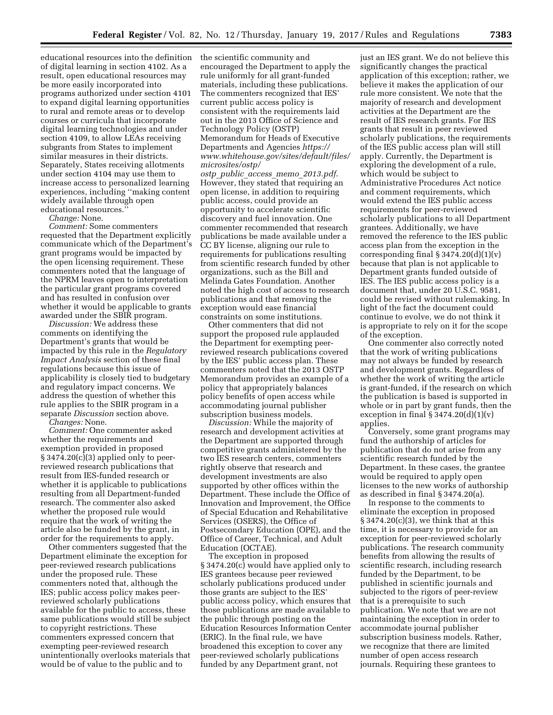educational resources into the definition the scientific community and of digital learning in section 4102. As a result, open educational resources may be more easily incorporated into programs authorized under section 4101 to expand digital learning opportunities to rural and remote areas or to develop courses or curricula that incorporate digital learning technologies and under section 4109, to allow LEAs receiving subgrants from States to implement similar measures in their districts. Separately, States receiving allotments under section 4104 may use them to increase access to personalized learning experiences, including ''making content widely available through open educational resources.''

*Change:* None.

*Comment:* Some commenters requested that the Department explicitly communicate which of the Department's grant programs would be impacted by the open licensing requirement. These commenters noted that the language of the NPRM leaves open to interpretation the particular grant programs covered and has resulted in confusion over whether it would be applicable to grants awarded under the SBIR program.

*Discussion:* We address these comments on identifying the Department's grants that would be impacted by this rule in the *Regulatory Impact Analysis* section of these final regulations because this issue of applicability is closely tied to budgetary and regulatory impact concerns. We address the question of whether this rule applies to the SBIR program in a separate *Discussion* section above.

*Changes:* None.

*Comment:* One commenter asked whether the requirements and exemption provided in proposed § 3474.20(c)(3) applied only to peerreviewed research publications that result from IES-funded research or whether it is applicable to publications resulting from all Department-funded research. The commenter also asked whether the proposed rule would require that the work of writing the article also be funded by the grant, in order for the requirements to apply.

Other commenters suggested that the Department eliminate the exception for peer-reviewed research publications under the proposed rule. These commenters noted that, although the IES; public access policy makes peerreviewed scholarly publications available for the public to access, these same publications would still be subject to copyright restrictions. These commenters expressed concern that exempting peer-reviewed research unintentionally overlooks materials that would be of value to the public and to

encouraged the Department to apply the rule uniformly for all grant-funded materials, including these publications. The commenters recognized that IES' current public access policy is consistent with the requirements laid out in the 2013 Office of Science and Technology Policy (OSTP) Memorandum for Heads of Executive Departments and Agencies *[https://](https://www.whitehouse.gov/sites/default/files/microsites/ostp/ostp_public_access_memo_2013.pdf) [www.whitehouse.gov/sites/default/files/](https://www.whitehouse.gov/sites/default/files/microsites/ostp/ostp_public_access_memo_2013.pdf)  [microsites/ostp/](https://www.whitehouse.gov/sites/default/files/microsites/ostp/ostp_public_access_memo_2013.pdf)* 

*ostp*\_*public*\_*access*\_*memo*\_*[2013.pdf](https://www.whitehouse.gov/sites/default/files/microsites/ostp/ostp_public_access_memo_2013.pdf)*. However, they stated that requiring an open license, in addition to requiring public access, could provide an opportunity to accelerate scientific discovery and fuel innovation. One commenter recommended that research publications be made available under a CC BY license, aligning our rule to requirements for publications resulting from scientific research funded by other organizations, such as the Bill and Melinda Gates Foundation. Another noted the high cost of access to research publications and that removing the exception would ease financial constraints on some institutions.

Other commenters that did not support the proposed rule applauded the Department for exempting peerreviewed research publications covered by the IES' public access plan. These commenters noted that the 2013 OSTP Memorandum provides an example of a policy that appropriately balances policy benefits of open access while accommodating journal publisher subscription business models.

*Discussion:* While the majority of research and development activities at the Department are supported through competitive grants administered by the two IES research centers, commenters rightly observe that research and development investments are also supported by other offices within the Department. These include the Office of Innovation and Improvement, the Office of Special Education and Rehabilitative Services (OSERS), the Office of Postsecondary Education (OPE), and the Office of Career, Technical, and Adult Education (OCTAE).

The exception in proposed § 3474.20(c) would have applied only to IES grantees because peer reviewed scholarly publications produced under those grants are subject to the IES' public access policy, which ensures that those publications are made available to the public through posting on the Education Resources Information Center (ERIC). In the final rule, we have broadened this exception to cover any peer-reviewed scholarly publications funded by any Department grant, not

just an IES grant. We do not believe this significantly changes the practical application of this exception; rather, we believe it makes the application of our rule more consistent. We note that the majority of research and development activities at the Department are the result of IES research grants. For IES grants that result in peer reviewed scholarly publications, the requirements of the IES public access plan will still apply. Currently, the Department is exploring the development of a rule, which would be subject to Administrative Procedures Act notice and comment requirements, which would extend the IES public access requirements for peer-reviewed scholarly publications to all Department grantees. Additionally, we have removed the reference to the IES public access plan from the exception in the corresponding final  $\S 3474.20(d)(1)(v)$ because that plan is not applicable to Department grants funded outside of IES. The IES public access policy is a document that, under 20 U.S.C. 9581, could be revised without rulemaking. In light of the fact the document could continue to evolve, we do not think it is appropriate to rely on it for the scope of the exception.

One commenter also correctly noted that the work of writing publications may not always be funded by research and development grants. Regardless of whether the work of writing the article is grant-funded, if the research on which the publication is based is supported in whole or in part by grant funds, then the exception in final  $\S 3474.20(d)(1)(v)$ applies.

Conversely, some grant programs may fund the authorship of articles for publication that do not arise from any scientific research funded by the Department. In these cases, the grantee would be required to apply open licenses to the new works of authorship as described in final § 3474.20(a).

In response to the comments to eliminate the exception in proposed § 3474.20(c)(3), we think that at this time, it is necessary to provide for an exception for peer-reviewed scholarly publications. The research community benefits from allowing the results of scientific research, including research funded by the Department, to be published in scientific journals and subjected to the rigors of peer-review that is a prerequisite to such publication. We note that we are not maintaining the exception in order to accommodate journal publisher subscription business models. Rather, we recognize that there are limited number of open access research journals. Requiring these grantees to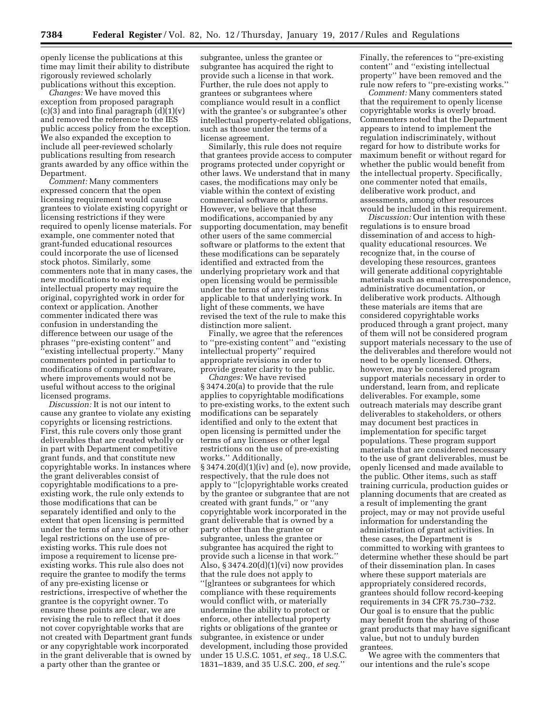openly license the publications at this time may limit their ability to distribute rigorously reviewed scholarly publications without this exception.

*Changes:* We have moved this exception from proposed paragraph (c)(3) and into final paragraph  $(d)(1)(v)$ and removed the reference to the IES public access policy from the exception. We also expanded the exception to include all peer-reviewed scholarly publications resulting from research grants awarded by any office within the Department.

*Comment:* Many commenters expressed concern that the open licensing requirement would cause grantees to violate existing copyright or licensing restrictions if they were required to openly license materials. For example, one commenter noted that grant-funded educational resources could incorporate the use of licensed stock photos. Similarly, some commenters note that in many cases, the new modifications to existing intellectual property may require the original, copyrighted work in order for context or application. Another commenter indicated there was confusion in understanding the difference between our usage of the phrases ''pre-existing content'' and ''existing intellectual property.'' Many commenters pointed in particular to modifications of computer software, where improvements would not be useful without access to the original licensed programs.

*Discussion:* It is not our intent to cause any grantee to violate any existing copyrights or licensing restrictions. First, this rule covers only those grant deliverables that are created wholly or in part with Department competitive grant funds, and that constitute new copyrightable works. In instances where the grant deliverables consist of copyrightable modifications to a preexisting work, the rule only extends to those modifications that can be separately identified and only to the extent that open licensing is permitted under the terms of any licenses or other legal restrictions on the use of preexisting works. This rule does not impose a requirement to license preexisting works. This rule also does not require the grantee to modify the terms of any pre-existing license or restrictions, irrespective of whether the grantee is the copyright owner. To ensure these points are clear, we are revising the rule to reflect that it does not cover copyrightable works that are not created with Department grant funds or any copyrightable work incorporated in the grant deliverable that is owned by a party other than the grantee or

subgrantee, unless the grantee or subgrantee has acquired the right to provide such a license in that work. Further, the rule does not apply to grantees or subgrantees where compliance would result in a conflict with the grantee's or subgrantee's other intellectual property-related obligations, such as those under the terms of a license agreement.

Similarly, this rule does not require that grantees provide access to computer programs protected under copyright or other laws. We understand that in many cases, the modifications may only be viable within the context of existing commercial software or platforms. However, we believe that these modifications, accompanied by any supporting documentation, may benefit other users of the same commercial software or platforms to the extent that these modifications can be separately identified and extracted from the underlying proprietary work and that open licensing would be permissible under the terms of any restrictions applicable to that underlying work. In light of these comments, we have revised the text of the rule to make this distinction more salient.

Finally, we agree that the references to ''pre-existing content'' and ''existing intellectual property'' required appropriate revisions in order to provide greater clarity to the public.

*Changes:* We have revised § 3474.20(a) to provide that the rule applies to copyrightable modifications to pre-existing works, to the extent such modifications can be separately identified and only to the extent that open licensing is permitted under the terms of any licenses or other legal restrictions on the use of pre-existing works.'' Additionally, § 3474.20(d)(1)(iv) and (e), now provide, respectively, that the rule does not apply to ''[c]opyrightable works created by the grantee or subgrantee that are not created with grant funds,'' or ''any copyrightable work incorporated in the grant deliverable that is owned by a party other than the grantee or subgrantee, unless the grantee or subgrantee has acquired the right to provide such a license in that work.'' Also, § 3474.20(d)(1)(vi) now provides that the rule does not apply to ''[g]rantees or subgrantees for which compliance with these requirements would conflict with, or materially undermine the ability to protect or enforce, other intellectual property rights or obligations of the grantee or subgrantee, in existence or under development, including those provided under 15 U.S.C. 1051, *et seq.,* 18 U.S.C. 1831–1839, and 35 U.S.C. 200, *et seq.*''

Finally, the references to ''pre-existing content'' and ''existing intellectual property'' have been removed and the rule now refers to ''pre-existing works.''

*Comment:* Many commenters stated that the requirement to openly license copyrightable works is overly broad. Commenters noted that the Department appears to intend to implement the regulation indiscriminately, without regard for how to distribute works for maximum benefit or without regard for whether the public would benefit from the intellectual property. Specifically, one commenter noted that emails, deliberative work product, and assessments, among other resources would be included in this requirement.

*Discussion:* Our intention with these regulations is to ensure broad dissemination of and access to highquality educational resources. We recognize that, in the course of developing these resources, grantees will generate additional copyrightable materials such as email correspondence, administrative documentation, or deliberative work products. Although these materials are items that are considered copyrightable works produced through a grant project, many of them will not be considered program support materials necessary to the use of the deliverables and therefore would not need to be openly licensed. Others, however, may be considered program support materials necessary in order to understand, learn from, and replicate deliverables. For example, some outreach materials may describe grant deliverables to stakeholders, or others may document best practices in implementation for specific target populations. These program support materials that are considered necessary to the use of grant deliverables, must be openly licensed and made available to the public. Other items, such as staff training curricula, production guides or planning documents that are created as a result of implementing the grant project, may or may not provide useful information for understanding the administration of grant activities. In these cases, the Department is committed to working with grantees to determine whether these should be part of their dissemination plan. In cases where these support materials are appropriately considered records, grantees should follow record-keeping requirements in 34 CFR 75.730–732. Our goal is to ensure that the public may benefit from the sharing of those grant products that may have significant value, but not to unduly burden grantees.

We agree with the commenters that our intentions and the rule's scope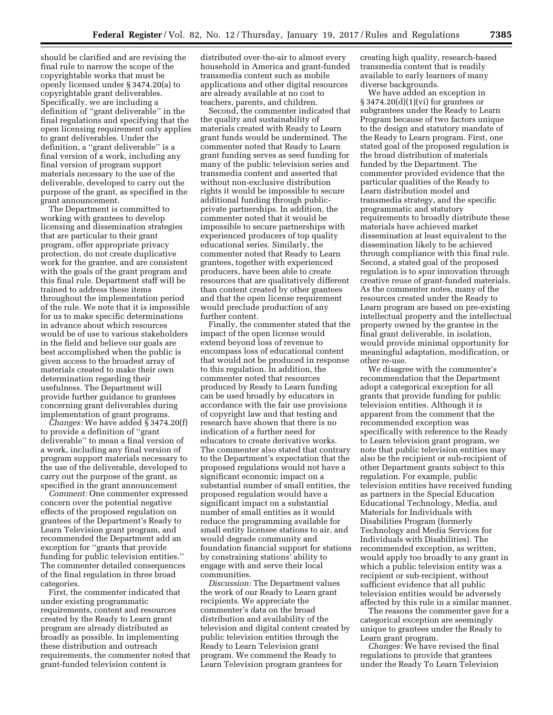should be clarified and are revising the final rule to narrow the scope of the copyrightable works that must be openly licensed under § 3474.20(a) to copyrightable grant deliverables. Specifically, we are including a definition of ''grant deliverable'' in the final regulations and specifying that the open licensing requirement only applies to grant deliverables. Under the definition, a ''grant deliverable'' is a final version of a work, including any final version of program support materials necessary to the use of the deliverable, developed to carry out the purpose of the grant, as specified in the grant announcement.

The Department is committed to working with grantees to develop licensing and dissemination strategies that are particular to their grant program, offer appropriate privacy protection, do not create duplicative work for the grantee, and are consistent with the goals of the grant program and this final rule. Department staff will be trained to address these items throughout the implementation period of the rule. We note that it is impossible for us to make specific determinations in advance about which resources would be of use to various stakeholders in the field and believe our goals are best accomplished when the public is given access to the broadest array of materials created to make their own determination regarding their usefulness. The Department will provide further guidance to grantees concerning grant deliverables during implementation of grant programs.

*Changes:* We have added § 3474.20(f) to provide a definition of ''grant deliverable'' to mean a final version of a work, including any final version of program support materials necessary to the use of the deliverable, developed to carry out the purpose of the grant, as specified in the grant announcement

*Comment:* One commenter expressed concern over the potential negative effects of the proposed regulation on grantees of the Department's Ready to Learn Television grant program, and recommended the Department add an exception for ''grants that provide funding for public television entities.'' The commenter detailed consequences of the final regulation in three broad categories.

First, the commenter indicated that under existing programmatic requirements, content and resources created by the Ready to Learn grant program are already distributed as broadly as possible. In implementing these distribution and outreach requirements, the commenter noted that grant-funded television content is

distributed over-the-air to almost every household in America and grant-funded transmedia content such as mobile applications and other digital resources are already available at no cost to teachers, parents, and children.

Second, the commenter indicated that the quality and sustainability of materials created with Ready to Learn grant funds would be undermined. The commenter noted that Ready to Learn grant funding serves as seed funding for many of the public television series and transmedia content and asserted that without non-exclusive distribution rights it would be impossible to secure additional funding through publicprivate partnerships. In addition, the commenter noted that it would be impossible to secure partnerships with experienced producers of top quality educational series. Similarly, the commenter noted that Ready to Learn grantees, together with experienced producers, have been able to create resources that are qualitatively different than content created by other grantees and that the open license requirement would preclude production of any further content.

Finally, the commenter stated that the impact of the open license would extend beyond loss of revenue to encompass loss of educational content that would not be produced in response to this regulation. In addition, the commenter noted that resources produced by Ready to Learn funding can be used broadly by educators in accordance with the fair use provisions of copyright law and that testing and research have shown that there is no indication of a further need for educators to create derivative works. The commenter also stated that contrary to the Department's expectation that the proposed regulations would not have a significant economic impact on a substantial number of small entities, the proposed regulation would have a significant impact on a substantial number of small entities as it would reduce the programming available for small entity licensee stations to air, and would degrade community and foundation financial support for stations by constraining stations' ability to engage with and serve their local communities.

*Discussion:* The Department values the work of our Ready to Learn grant recipients. We appreciate the commenter's data on the broad distribution and availability of the television and digital content created by public television entities through the Ready to Learn Television grant program. We commend the Ready to Learn Television program grantees for

creating high quality, research-based transmedia content that is readily available to early learners of many diverse backgrounds.

We have added an exception in § 3474.20(d)(1)(vi) for grantees or subgrantees under the Ready to Learn Program because of two factors unique to the design and statutory mandate of the Ready to Learn program. First, one stated goal of the proposed regulation is the broad distribution of materials funded by the Department. The commenter provided evidence that the particular qualities of the Ready to Learn distribution model and transmedia strategy, and the specific programmatic and statutory requirements to broadly distribute these materials have achieved market dissemination at least equivalent to the dissemination likely to be achieved through compliance with this final rule. Second, a stated goal of the proposed regulation is to spur innovation through creative reuse of grant-funded materials. As the commenter notes, many of the resources created under the Ready to Learn program are based on pre-existing intellectual property and the intellectual property owned by the grantee in the final grant deliverable, in isolation, would provide minimal opportunity for meaningful adaptation, modification, or other re-use.

We disagree with the commenter's recommendation that the Department adopt a categorical exception for all grants that provide funding for public television entities. Although it is apparent from the comment that the recommended exception was specifically with reference to the Ready to Learn television grant program, we note that public television entities may also be the recipient or sub-recipient of other Department grants subject to this regulation. For example, public television entities have received funding as partners in the Special Education Educational Technology, Media, and Materials for Individuals with Disabilities Program (formerly Technology and Media Services for Individuals with Disabilities). The recommended exception, as written, would apply too broadly to any grant in which a public television entity was a recipient or sub-recipient, without sufficient evidence that all public television entities would be adversely affected by this rule in a similar manner.

The reasons the commenter gave for a categorical exception are seemingly unique to grantees under the Ready to Learn grant program.

*Changes:* We have revised the final regulations to provide that grantees under the Ready To Learn Television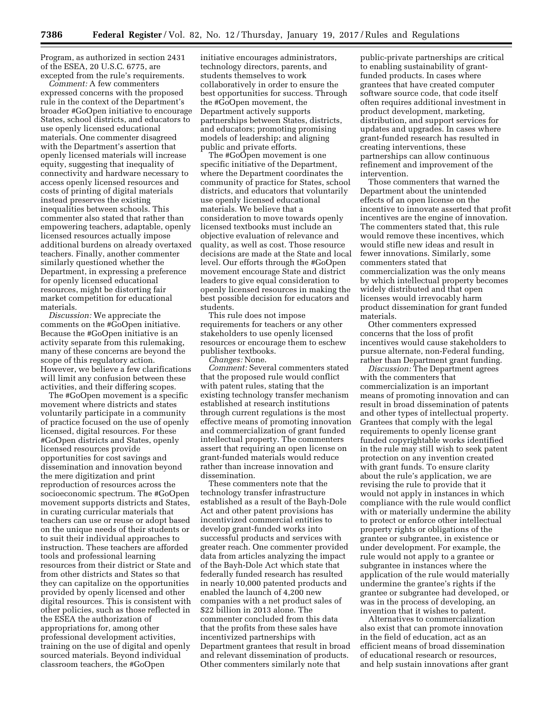Program, as authorized in section 2431 of the ESEA, 20 U.S.C. 6775, are excepted from the rule's requirements.

*Comment:* A few commenters expressed concerns with the proposed rule in the context of the Department's broader #GoOpen initiative to encourage States, school districts, and educators to use openly licensed educational materials. One commenter disagreed with the Department's assertion that openly licensed materials will increase equity, suggesting that inequality of connectivity and hardware necessary to access openly licensed resources and costs of printing of digital materials instead preserves the existing inequalities between schools. This commenter also stated that rather than empowering teachers, adaptable, openly licensed resources actually impose additional burdens on already overtaxed teachers. Finally, another commenter similarly questioned whether the Department, in expressing a preference for openly licensed educational resources, might be distorting fair market competition for educational materials.

*Discussion:* We appreciate the comments on the #GoOpen initiative. Because the #GoOpen initiative is an activity separate from this rulemaking, many of these concerns are beyond the scope of this regulatory action. However, we believe a few clarifications will limit any confusion between these activities, and their differing scopes.

The #GoOpen movement is a specific movement where districts and states voluntarily participate in a community of practice focused on the use of openly licensed, digital resources. For these #GoOpen districts and States, openly licensed resources provide opportunities for cost savings and dissemination and innovation beyond the mere digitization and print reproduction of resources across the socioeconomic spectrum. The #GoOpen movement supports districts and States, in curating curricular materials that teachers can use or reuse or adopt based on the unique needs of their students or to suit their individual approaches to instruction. These teachers are afforded tools and professional learning resources from their district or State and from other districts and States so that they can capitalize on the opportunities provided by openly licensed and other digital resources. This is consistent with other policies, such as those reflected in the ESEA the authorization of appropriations for, among other professional development activities, training on the use of digital and openly sourced materials. Beyond individual classroom teachers, the #GoOpen

initiative encourages administrators, technology directors, parents, and students themselves to work collaboratively in order to ensure the best opportunities for success. Through the #GoOpen movement, the Department actively supports partnerships between States, districts, and educators; promoting promising models of leadership; and aligning public and private efforts.

The #GoOpen movement is one specific initiative of the Department, where the Department coordinates the community of practice for States, school districts, and educators that voluntarily use openly licensed educational materials. We believe that a consideration to move towards openly licensed textbooks must include an objective evaluation of relevance and quality, as well as cost. Those resource decisions are made at the State and local level. Our efforts through the #GoOpen movement encourage State and district leaders to give equal consideration to openly licensed resources in making the best possible decision for educators and students.

This rule does not impose requirements for teachers or any other stakeholders to use openly licensed resources or encourage them to eschew publisher textbooks.

*Changes:* None.

*Comment:* Several commenters stated that the proposed rule would conflict with patent rules, stating that the existing technology transfer mechanism established at research institutions through current regulations is the most effective means of promoting innovation and commercialization of grant funded intellectual property. The commenters assert that requiring an open license on grant-funded materials would reduce rather than increase innovation and dissemination.

These commenters note that the technology transfer infrastructure established as a result of the Bayh-Dole Act and other patent provisions has incentivized commercial entities to develop grant-funded works into successful products and services with greater reach. One commenter provided data from articles analyzing the impact of the Bayh-Dole Act which state that federally funded research has resulted in nearly 10,000 patented products and enabled the launch of 4,200 new companies with a net product sales of \$22 billion in 2013 alone. The commenter concluded from this data that the profits from these sales have incentivized partnerships with Department grantees that result in broad and relevant dissemination of products. Other commenters similarly note that

public-private partnerships are critical to enabling sustainability of grantfunded products. In cases where grantees that have created computer software source code, that code itself often requires additional investment in product development, marketing, distribution, and support services for updates and upgrades. In cases where grant-funded research has resulted in creating interventions, these partnerships can allow continuous refinement and improvement of the intervention.

Those commenters that warned the Department about the unintended effects of an open license on the incentive to innovate asserted that profit incentives are the engine of innovation. The commenters stated that, this rule would remove these incentives, which would stifle new ideas and result in fewer innovations. Similarly, some commenters stated that commercialization was the only means by which intellectual property becomes widely distributed and that open licenses would irrevocably harm product dissemination for grant funded materials.

Other commenters expressed concerns that the loss of profit incentives would cause stakeholders to pursue alternate, non-Federal funding, rather than Department grant funding.

*Discussion:* The Department agrees with the commenters that commercialization is an important means of promoting innovation and can result in broad dissemination of patents and other types of intellectual property. Grantees that comply with the legal requirements to openly license grant funded copyrightable works identified in the rule may still wish to seek patent protection on any invention created with grant funds. To ensure clarity about the rule's application, we are revising the rule to provide that it would not apply in instances in which compliance with the rule would conflict with or materially undermine the ability to protect or enforce other intellectual property rights or obligations of the grantee or subgrantee, in existence or under development. For example, the rule would not apply to a grantee or subgrantee in instances where the application of the rule would materially undermine the grantee's rights if the grantee or subgrantee had developed, or was in the process of developing, an invention that it wishes to patent.

Alternatives to commercialization also exist that can promote innovation in the field of education, act as an efficient means of broad dissemination of educational research or resources, and help sustain innovations after grant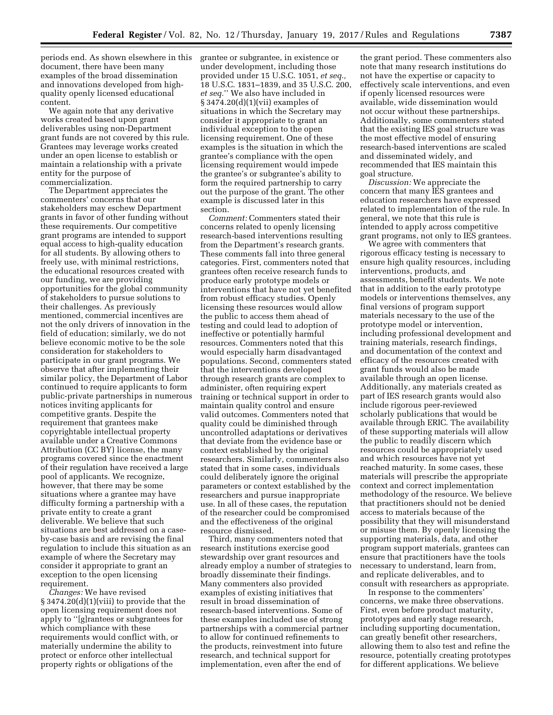periods end. As shown elsewhere in this document, there have been many examples of the broad dissemination and innovations developed from highquality openly licensed educational content.

We again note that any derivative works created based upon grant deliverables using non-Department grant funds are not covered by this rule. Grantees may leverage works created under an open license to establish or maintain a relationship with a private entity for the purpose of commercialization.

The Department appreciates the commenters' concerns that our stakeholders may eschew Department grants in favor of other funding without these requirements. Our competitive grant programs are intended to support equal access to high-quality education for all students. By allowing others to freely use, with minimal restrictions, the educational resources created with our funding, we are providing opportunities for the global community of stakeholders to pursue solutions to their challenges. As previously mentioned, commercial incentives are not the only drivers of innovation in the field of education; similarly, we do not believe economic motive to be the sole consideration for stakeholders to participate in our grant programs. We observe that after implementing their similar policy, the Department of Labor continued to require applicants to form public-private partnerships in numerous notices inviting applicants for competitive grants. Despite the requirement that grantees make copyrightable intellectual property available under a Creative Commons Attribution (CC BY) license, the many programs covered since the enactment of their regulation have received a large pool of applicants. We recognize, however, that there may be some situations where a grantee may have difficulty forming a partnership with a private entity to create a grant deliverable. We believe that such situations are best addressed on a caseby-case basis and are revising the final regulation to include this situation as an example of where the Secretary may consider it appropriate to grant an exception to the open licensing requirement.

*Changes:* We have revised § 3474.20(d)(1)(viii) to provide that the open licensing requirement does not apply to ''[g]rantees or subgrantees for which compliance with these requirements would conflict with, or materially undermine the ability to protect or enforce other intellectual property rights or obligations of the

grantee or subgrantee, in existence or under development, including those provided under 15 U.S.C. 1051, *et seq.,*  18 U.S.C. 1831–1839, and 35 U.S.C. 200, *et seq.*'' We also have included in § 3474.20(d)(1)(vii) examples of situations in which the Secretary may consider it appropriate to grant an individual exception to the open licensing requirement. One of these examples is the situation in which the grantee's compliance with the open licensing requirement would impede the grantee's or subgrantee's ability to form the required partnership to carry out the purpose of the grant. The other example is discussed later in this section.

*Comment:* Commenters stated their concerns related to openly licensing research-based interventions resulting from the Department's research grants. These comments fall into three general categories. First, commenters noted that grantees often receive research funds to produce early prototype models or interventions that have not yet benefited from robust efficacy studies. Openly licensing these resources would allow the public to access them ahead of testing and could lead to adoption of ineffective or potentially harmful resources. Commenters noted that this would especially harm disadvantaged populations. Second, commenters stated that the interventions developed through research grants are complex to administer, often requiring expert training or technical support in order to maintain quality control and ensure valid outcomes. Commenters noted that quality could be diminished through uncontrolled adaptations or derivatives that deviate from the evidence base or context established by the original researchers. Similarly, commenters also stated that in some cases, individuals could deliberately ignore the original parameters or context established by the researchers and pursue inappropriate use. In all of these cases, the reputation of the researcher could be compromised and the effectiveness of the original resource dismissed.

Third, many commenters noted that research institutions exercise good stewardship over grant resources and already employ a number of strategies to broadly disseminate their findings. Many commenters also provided examples of existing initiatives that result in broad dissemination of research-based interventions. Some of these examples included use of strong partnerships with a commercial partner to allow for continued refinements to the products, reinvestment into future research, and technical support for implementation, even after the end of

the grant period. These commenters also note that many research institutions do not have the expertise or capacity to effectively scale interventions, and even if openly licensed resources were available, wide dissemination would not occur without these partnerships. Additionally, some commenters stated that the existing IES goal structure was the most effective model of ensuring research-based interventions are scaled and disseminated widely, and recommended that IES maintain this goal structure.

*Discussion:* We appreciate the concern that many IES grantees and education researchers have expressed related to implementation of the rule. In general, we note that this rule is intended to apply across competitive grant programs, not only to IES grantees.

We agree with commenters that rigorous efficacy testing is necessary to ensure high quality resources, including interventions, products, and assessments, benefit students. We note that in addition to the early prototype models or interventions themselves, any final versions of program support materials necessary to the use of the prototype model or intervention, including professional development and training materials, research findings, and documentation of the context and efficacy of the resources created with grant funds would also be made available through an open license. Additionally, any materials created as part of IES research grants would also include rigorous peer-reviewed scholarly publications that would be available through ERIC. The availability of these supporting materials will allow the public to readily discern which resources could be appropriately used and which resources have not yet reached maturity. In some cases, these materials will prescribe the appropriate context and correct implementation methodology of the resource. We believe that practitioners should not be denied access to materials because of the possibility that they will misunderstand or misuse them. By openly licensing the supporting materials, data, and other program support materials, grantees can ensure that practitioners have the tools necessary to understand, learn from, and replicate deliverables, and to consult with researchers as appropriate.

In response to the commenters' concerns, we make three observations. First, even before product maturity, prototypes and early stage research, including supporting documentation, can greatly benefit other researchers, allowing them to also test and refine the resource, potentially creating prototypes for different applications. We believe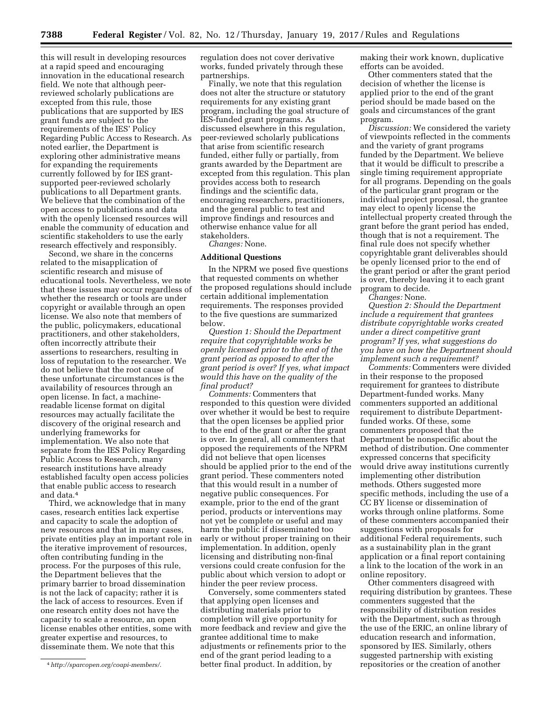this will result in developing resources at a rapid speed and encouraging innovation in the educational research field. We note that although peerreviewed scholarly publications are excepted from this rule, those publications that are supported by IES grant funds are subject to the requirements of the IES' Policy Regarding Public Access to Research. As noted earlier, the Department is exploring other administrative means for expanding the requirements currently followed by for IES grantsupported peer-reviewed scholarly publications to all Department grants. We believe that the combination of the open access to publications and data with the openly licensed resources will enable the community of education and scientific stakeholders to use the early research effectively and responsibly.

Second, we share in the concerns related to the misapplication of scientific research and misuse of educational tools. Nevertheless, we note that these issues may occur regardless of whether the research or tools are under copyright or available through an open license. We also note that members of the public, policymakers, educational practitioners, and other stakeholders, often incorrectly attribute their assertions to researchers, resulting in loss of reputation to the researcher. We do not believe that the root cause of these unfortunate circumstances is the availability of resources through an open license. In fact, a machinereadable license format on digital resources may actually facilitate the discovery of the original research and underlying frameworks for implementation. We also note that separate from the IES Policy Regarding Public Access to Research, many research institutions have already established faculty open access policies that enable public access to research and data.4

Third, we acknowledge that in many cases, research entities lack expertise and capacity to scale the adoption of new resources and that in many cases, private entities play an important role in the iterative improvement of resources, often contributing funding in the process. For the purposes of this rule, the Department believes that the primary barrier to broad dissemination is not the lack of capacity; rather it is the lack of access to resources. Even if one research entity does not have the capacity to scale a resource, an open license enables other entities, some with greater expertise and resources, to disseminate them. We note that this

regulation does not cover derivative works, funded privately through these partnerships.

Finally, we note that this regulation does not alter the structure or statutory requirements for any existing grant program, including the goal structure of IES-funded grant programs. As discussed elsewhere in this regulation, peer-reviewed scholarly publications that arise from scientific research funded, either fully or partially, from grants awarded by the Department are excepted from this regulation. This plan provides access both to research findings and the scientific data, encouraging researchers, practitioners, and the general public to test and improve findings and resources and otherwise enhance value for all stakeholders.

*Changes:* None.

#### **Additional Questions**

In the NPRM we posed five questions that requested comments on whether the proposed regulations should include certain additional implementation requirements. The responses provided to the five questions are summarized below.

*Question 1: Should the Department require that copyrightable works be openly licensed prior to the end of the grant period as opposed to after the grant period is over? If yes, what impact would this have on the quality of the final product?* 

*Comments:* Commenters that responded to this question were divided over whether it would be best to require that the open licenses be applied prior to the end of the grant or after the grant is over. In general, all commenters that opposed the requirements of the NPRM did not believe that open licenses should be applied prior to the end of the grant period. These commenters noted that this would result in a number of negative public consequences. For example, prior to the end of the grant period, products or interventions may not yet be complete or useful and may harm the public if disseminated too early or without proper training on their implementation. In addition, openly licensing and distributing non-final versions could create confusion for the public about which version to adopt or hinder the peer review process.

Conversely, some commenters stated that applying open licenses and distributing materials prior to completion will give opportunity for more feedback and review and give the grantee additional time to make adjustments or refinements prior to the end of the grant period leading to a better final product. In addition, by

making their work known, duplicative efforts can be avoided.

Other commenters stated that the decision of whether the license is applied prior to the end of the grant period should be made based on the goals and circumstances of the grant program.

*Discussion:* We considered the variety of viewpoints reflected in the comments and the variety of grant programs funded by the Department. We believe that it would be difficult to prescribe a single timing requirement appropriate for all programs. Depending on the goals of the particular grant program or the individual project proposal, the grantee may elect to openly license the intellectual property created through the grant before the grant period has ended, though that is not a requirement. The final rule does not specify whether copyrightable grant deliverables should be openly licensed prior to the end of the grant period or after the grant period is over, thereby leaving it to each grant program to decide.

*Changes:* None.

*Question 2: Should the Department include a requirement that grantees distribute copyrightable works created under a direct competitive grant program? If yes, what suggestions do you have on how the Department should implement such a requirement?* 

*Comments:* Commenters were divided in their response to the proposed requirement for grantees to distribute Department-funded works. Many commenters supported an additional requirement to distribute Departmentfunded works. Of these, some commenters proposed that the Department be nonspecific about the method of distribution. One commenter expressed concerns that specificity would drive away institutions currently implementing other distribution methods. Others suggested more specific methods, including the use of a CC BY license or dissemination of works through online platforms. Some of these commenters accompanied their suggestions with proposals for additional Federal requirements, such as a sustainability plan in the grant application or a final report containing a link to the location of the work in an online repository.

Other commenters disagreed with requiring distribution by grantees. These commenters suggested that the responsibility of distribution resides with the Department, such as through the use of the ERIC, an online library of education research and information, sponsored by IES. Similarly, others suggested partnership with existing repositories or the creation of another

<sup>4</sup>*<http://sparcopen.org/coapi-members/>*.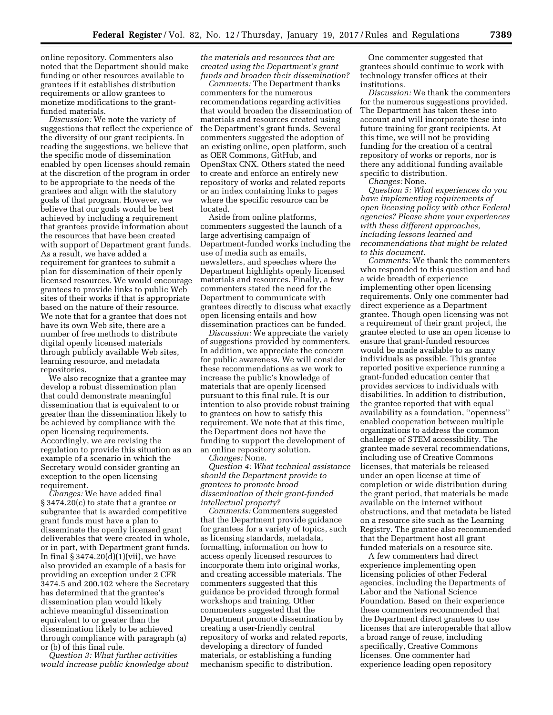online repository. Commenters also noted that the Department should make funding or other resources available to grantees if it establishes distribution requirements or allow grantees to monetize modifications to the grantfunded materials.

*Discussion:* We note the variety of suggestions that reflect the experience of the diversity of our grant recipients. In reading the suggestions, we believe that the specific mode of dissemination enabled by open licenses should remain at the discretion of the program in order to be appropriate to the needs of the grantees and align with the statutory goals of that program. However, we believe that our goals would be best achieved by including a requirement that grantees provide information about the resources that have been created with support of Department grant funds. As a result, we have added a requirement for grantees to submit a plan for dissemination of their openly licensed resources. We would encourage grantees to provide links to public Web sites of their works if that is appropriate based on the nature of their resource. We note that for a grantee that does not have its own Web site, there are a number of free methods to distribute digital openly licensed materials through publicly available Web sites, learning resource, and metadata repositories.

We also recognize that a grantee may develop a robust dissemination plan that could demonstrate meaningful dissemination that is equivalent to or greater than the dissemination likely to be achieved by compliance with the open licensing requirements. Accordingly, we are revising the regulation to provide this situation as an example of a scenario in which the Secretary would consider granting an exception to the open licensing requirement.

*Changes:* We have added final § 3474.20(c) to state that a grantee or subgrantee that is awarded competitive grant funds must have a plan to disseminate the openly licensed grant deliverables that were created in whole, or in part, with Department grant funds. In final  $\S 3474.20(d)(1)(vii)$ , we have also provided an example of a basis for providing an exception under 2 CFR 3474.5 and 200.102 where the Secretary has determined that the grantee's dissemination plan would likely achieve meaningful dissemination equivalent to or greater than the dissemination likely to be achieved through compliance with paragraph (a) or (b) of this final rule.

*Question 3: What further activities would increase public knowledge about* 

*the materials and resources that are created using the Department's grant funds and broaden their dissemination?* 

*Comments:* The Department thanks commenters for the numerous recommendations regarding activities that would broaden the dissemination of materials and resources created using the Department's grant funds. Several commenters suggested the adoption of an existing online, open platform, such as OER Commons, GitHub, and OpenStax CNX. Others stated the need to create and enforce an entirely new repository of works and related reports or an index containing links to pages where the specific resource can be located.

Aside from online platforms, commenters suggested the launch of a large advertising campaign of Department-funded works including the use of media such as emails, newsletters, and speeches where the Department highlights openly licensed materials and resources. Finally, a few commenters stated the need for the Department to communicate with grantees directly to discuss what exactly open licensing entails and how dissemination practices can be funded.

*Discussion:* We appreciate the variety of suggestions provided by commenters. In addition, we appreciate the concern for public awareness. We will consider these recommendations as we work to increase the public's knowledge of materials that are openly licensed pursuant to this final rule. It is our intention to also provide robust training to grantees on how to satisfy this requirement. We note that at this time, the Department does not have the funding to support the development of an online repository solution.

*Changes:* None.

*Question 4: What technical assistance should the Department provide to grantees to promote broad dissemination of their grant-funded intellectual property?* 

*Comments:* Commenters suggested that the Department provide guidance for grantees for a variety of topics, such as licensing standards, metadata, formatting, information on how to access openly licensed resources to incorporate them into original works, and creating accessible materials. The commenters suggested that this guidance be provided through formal workshops and training. Other commenters suggested that the Department promote dissemination by creating a user-friendly central repository of works and related reports, developing a directory of funded materials, or establishing a funding mechanism specific to distribution.

One commenter suggested that grantees should continue to work with technology transfer offices at their institutions.

*Discussion:* We thank the commenters for the numerous suggestions provided. The Department has taken these into account and will incorporate these into future training for grant recipients. At this time, we will not be providing funding for the creation of a central repository of works or reports, nor is there any additional funding available specific to distribution.

*Changes:* None.

*Question 5: What experiences do you have implementing requirements of open licensing policy with other Federal agencies? Please share your experiences with these different approaches, including lessons learned and recommendations that might be related to this document.* 

*Comments:* We thank the commenters who responded to this question and had a wide breadth of experience implementing other open licensing requirements. Only one commenter had direct experience as a Department grantee. Though open licensing was not a requirement of their grant project, the grantee elected to use an open license to ensure that grant-funded resources would be made available to as many individuals as possible. This grantee reported positive experience running a grant-funded education center that provides services to individuals with disabilities. In addition to distribution, the grantee reported that with equal availability as a foundation, ''openness'' enabled cooperation between multiple organizations to address the common challenge of STEM accessibility. The grantee made several recommendations, including use of Creative Commons licenses, that materials be released under an open license at time of completion or wide distribution during the grant period, that materials be made available on the internet without obstructions, and that metadata be listed on a resource site such as the Learning Registry. The grantee also recommended that the Department host all grant funded materials on a resource site.

A few commenters had direct experience implementing open licensing policies of other Federal agencies, including the Departments of Labor and the National Science Foundation. Based on their experience these commenters recommended that the Department direct grantees to use licenses that are interoperable that allow a broad range of reuse, including specifically, Creative Commons licenses. One commenter had experience leading open repository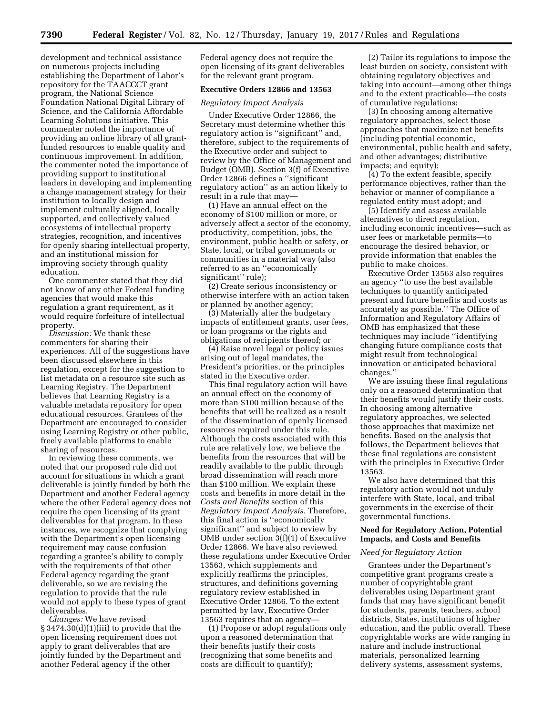development and technical assistance on numerous projects including establishing the Department of Labor's repository for the TAACCCT grant program, the National Science Foundation National Digital Library of Science, and the California Affordable Learning Solutions initiative. This commenter noted the importance of providing an online library of all grantfunded resources to enable quality and continuous improvement. In addition, the commenter noted the importance of providing support to institutional leaders in developing and implementing a change management strategy for their institution to locally design and implement culturally aligned, locally supported, and collectively valued ecosystems of intellectual property strategies, recognition, and incentives for openly sharing intellectual property, and an institutional mission for improving society through quality education.

One commenter stated that they did not know of any other Federal funding agencies that would make this regulation a grant requirement, as it would require forfeiture of intellectual property.

*Discussion:* We thank these commenters for sharing their experiences. All of the suggestions have been discussed elsewhere in this regulation, except for the suggestion to list metadata on a resource site such as Learning Registry. The Department believes that Learning Registry is a valuable metadata repository for open educational resources. Grantees of the Department are encouraged to consider using Learning Registry or other public, freely available platforms to enable sharing of resources.

In reviewing these comments, we noted that our proposed rule did not account for situations in which a grant deliverable is jointly funded by both the Department and another Federal agency where the other Federal agency does not require the open licensing of its grant deliverables for that program. In these instances, we recognize that complying with the Department's open licensing requirement may cause confusion regarding a grantee's ability to comply with the requirements of that other Federal agency regarding the grant deliverable, so we are revising the regulation to provide that the rule would not apply to these types of grant deliverables.

*Changes:* We have revised § 3474.30(d)(1)(iii) to provide that the open licensing requirement does not apply to grant deliverables that are jointly funded by the Department and another Federal agency if the other

Federal agency does not require the open licensing of its grant deliverables for the relevant grant program.

## **Executive Orders 12866 and 13563**

# *Regulatory Impact Analysis*

Under Executive Order 12866, the Secretary must determine whether this regulatory action is ''significant'' and, therefore, subject to the requirements of the Executive order and subject to review by the Office of Management and Budget (OMB). Section 3(f) of Executive Order 12866 defines a ''significant regulatory action'' as an action likely to result in a rule that may—

(1) Have an annual effect on the economy of \$100 million or more, or adversely affect a sector of the economy, productivity, competition, jobs, the environment, public health or safety, or State, local, or tribal governments or communities in a material way (also referred to as an ''economically significant'' rule);

(2) Create serious inconsistency or otherwise interfere with an action taken or planned by another agency;

(3) Materially alter the budgetary impacts of entitlement grants, user fees, or loan programs or the rights and obligations of recipients thereof; or

(4) Raise novel legal or policy issues arising out of legal mandates, the President's priorities, or the principles stated in the Executive order.

This final regulatory action will have an annual effect on the economy of more than \$100 million because of the benefits that will be realized as a result of the dissemination of openly licensed resources required under this rule. Although the costs associated with this rule are relatively low, we believe the benefits from the resources that will be readily available to the public through broad dissemination will reach more than \$100 million. We explain these costs and benefits in more detail in the *Costs and Benefits* section of this *Regulatory Impact Analysis.* Therefore, this final action is ''economically significant'' and subject to review by OMB under section 3(f)(1) of Executive Order 12866. We have also reviewed these regulations under Executive Order 13563, which supplements and explicitly reaffirms the principles, structures, and definitions governing regulatory review established in Executive Order 12866. To the extent permitted by law, Executive Order 13563 requires that an agency—

(1) Propose or adopt regulations only upon a reasoned determination that their benefits justify their costs (recognizing that some benefits and costs are difficult to quantify);

(2) Tailor its regulations to impose the least burden on society, consistent with obtaining regulatory objectives and taking into account—among other things and to the extent practicable—the costs of cumulative regulations;

(3) In choosing among alternative regulatory approaches, select those approaches that maximize net benefits (including potential economic, environmental, public health and safety, and other advantages; distributive impacts; and equity);

(4) To the extent feasible, specify performance objectives, rather than the behavior or manner of compliance a regulated entity must adopt; and

(5) Identify and assess available alternatives to direct regulation, including economic incentives—such as user fees or marketable permits—to encourage the desired behavior, or provide information that enables the public to make choices.

Executive Order 13563 also requires an agency ''to use the best available techniques to quantify anticipated present and future benefits and costs as accurately as possible.'' The Office of Information and Regulatory Affairs of OMB has emphasized that these techniques may include ''identifying changing future compliance costs that might result from technological innovation or anticipated behavioral changes.''

We are issuing these final regulations only on a reasoned determination that their benefits would justify their costs. In choosing among alternative regulatory approaches, we selected those approaches that maximize net benefits. Based on the analysis that follows, the Department believes that these final regulations are consistent with the principles in Executive Order 13563.

We also have determined that this regulatory action would not unduly interfere with State, local, and tribal governments in the exercise of their governmental functions.

#### **Need for Regulatory Action, Potential Impacts, and Costs and Benefits**

#### *Need for Regulatory Action*

Grantees under the Department's competitive grant programs create a number of copyrightable grant deliverables using Department grant funds that may have significant benefit for students, parents, teachers, school districts, States, institutions of higher education, and the public overall. These copyrightable works are wide ranging in nature and include instructional materials, personalized learning delivery systems, assessment systems,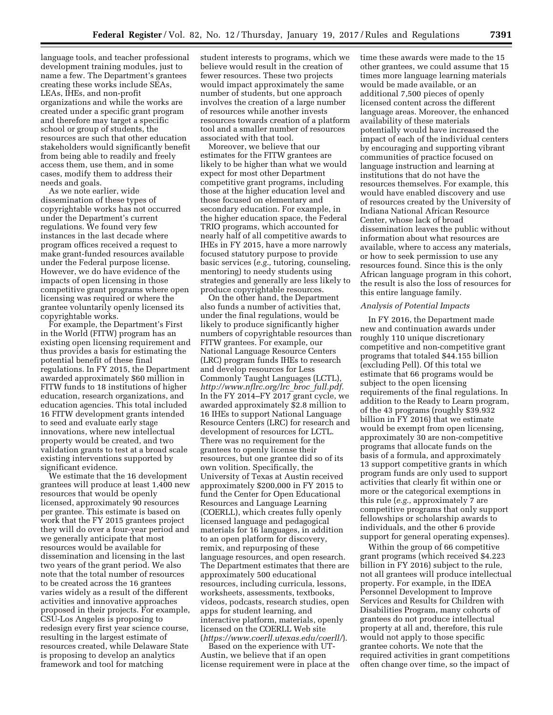language tools, and teacher professional development training modules, just to name a few. The Department's grantees creating these works include SEAs, LEAs, IHEs, and non-profit organizations and while the works are created under a specific grant program and therefore may target a specific school or group of students, the resources are such that other education stakeholders would significantly benefit from being able to readily and freely access them, use them, and in some cases, modify them to address their needs and goals.

As we note earlier, wide dissemination of these types of copyrightable works has not occurred under the Department's current regulations. We found very few instances in the last decade where program offices received a request to make grant-funded resources available under the Federal purpose license. However, we do have evidence of the impacts of open licensing in those competitive grant programs where open licensing was required or where the grantee voluntarily openly licensed its copyrightable works.

For example, the Department's First in the World (FITW) program has an existing open licensing requirement and thus provides a basis for estimating the potential benefit of these final regulations. In FY 2015, the Department awarded approximately \$60 million in FITW funds to 18 institutions of higher education, research organizations, and education agencies. This total included 16 FITW development grants intended to seed and evaluate early stage innovations, where new intellectual property would be created, and two validation grants to test at a broad scale existing interventions supported by significant evidence.

We estimate that the 16 development grantees will produce at least 1,400 new resources that would be openly licensed, approximately 90 resources per grantee. This estimate is based on work that the FY 2015 grantees project they will do over a four-year period and we generally anticipate that most resources would be available for dissemination and licensing in the last two years of the grant period. We also note that the total number of resources to be created across the 16 grantees varies widely as a result of the different activities and innovative approaches proposed in their projects. For example, CSU-Los Angeles is proposing to redesign every first year science course, resulting in the largest estimate of resources created, while Delaware State is proposing to develop an analytics framework and tool for matching

student interests to programs, which we believe would result in the creation of fewer resources. These two projects would impact approximately the same number of students, but one approach involves the creation of a large number of resources while another invests resources towards creation of a platform tool and a smaller number of resources associated with that tool.

Moreover, we believe that our estimates for the FITW grantees are likely to be higher than what we would expect for most other Department competitive grant programs, including those at the higher education level and those focused on elementary and secondary education. For example, in the higher education space, the Federal TRIO programs, which accounted for nearly half of all competitive awards to IHEs in FY 2015, have a more narrowly focused statutory purpose to provide basic services (*e.g.,* tutoring, counseling, mentoring) to needy students using strategies and generally are less likely to produce copyrightable resources.

On the other hand, the Department also funds a number of activities that, under the final regulations, would be likely to produce significantly higher numbers of copyrightable resources than FITW grantees. For example, our National Language Resource Centers (LRC) program funds IHEs to research and develop resources for Less Commonly Taught Languages (LCTL), *[http://www.nflrc.org/lrc](http://www.nflrc.org/lrc_broc_full.pdf)*\_*broc*\_*full.pdf.*  In the FY 2014–FY 2017 grant cycle, we awarded approximately \$2.8 million to 16 IHEs to support National Language Resource Centers (LRC) for research and development of resources for LCTL. There was no requirement for the grantees to openly license their resources, but one grantee did so of its own volition. Specifically, the University of Texas at Austin received approximately \$200,000 in FY 2015 to fund the Center for Open Educational Resources and Language Learning (COERLL), which creates fully openly licensed language and pedagogical materials for 16 languages, in addition to an open platform for discovery, remix, and repurposing of these language resources, and open research. The Department estimates that there are approximately 500 educational resources, including curricula, lessons, worksheets, assessments, textbooks, videos, podcasts, research studies, open apps for student learning, and interactive platform, materials, openly licensed on the COERLL Web site (*<https://www.coerll.utexas.edu/coerll/>*).

Based on the experience with UT-Austin, we believe that if an open license requirement were in place at the

time these awards were made to the 15 other grantees, we could assume that 15 times more language learning materials would be made available, or an additional 7,500 pieces of openly licensed content across the different language areas. Moreover, the enhanced availability of these materials potentially would have increased the impact of each of the individual centers by encouraging and supporting vibrant communities of practice focused on language instruction and learning at institutions that do not have the resources themselves. For example, this would have enabled discovery and use of resources created by the University of Indiana National African Resource Center, whose lack of broad dissemination leaves the public without information about what resources are available, where to access any materials, or how to seek permission to use any resources found. Since this is the only African language program in this cohort, the result is also the loss of resources for this entire language family.

# *Analysis of Potential Impacts*

In FY 2016, the Department made new and continuation awards under roughly 110 unique discretionary competitive and non-competitive grant programs that totaled \$44.155 billion (excluding Pell). Of this total we estimate that 66 programs would be subject to the open licensing requirements of the final regulations. In addition to the Ready to Learn program, of the 43 programs (roughly \$39.932 billion in FY 2016) that we estimate would be exempt from open licensing, approximately 30 are non-competitive programs that allocate funds on the basis of a formula, and approximately 13 support competitive grants in which program funds are only used to support activities that clearly fit within one or more or the categorical exemptions in this rule (*e.g.,* approximately 7 are competitive programs that only support fellowships or scholarship awards to individuals, and the other 6 provide support for general operating expenses).

Within the group of 66 competitive grant programs (which received \$4.223 billion in FY 2016) subject to the rule, not all grantees will produce intellectual property. For example, in the IDEA Personnel Development to Improve Services and Results for Children with Disabilities Program, many cohorts of grantees do not produce intellectual property at all and, therefore, this rule would not apply to those specific grantee cohorts. We note that the required activities in grant competitions often change over time, so the impact of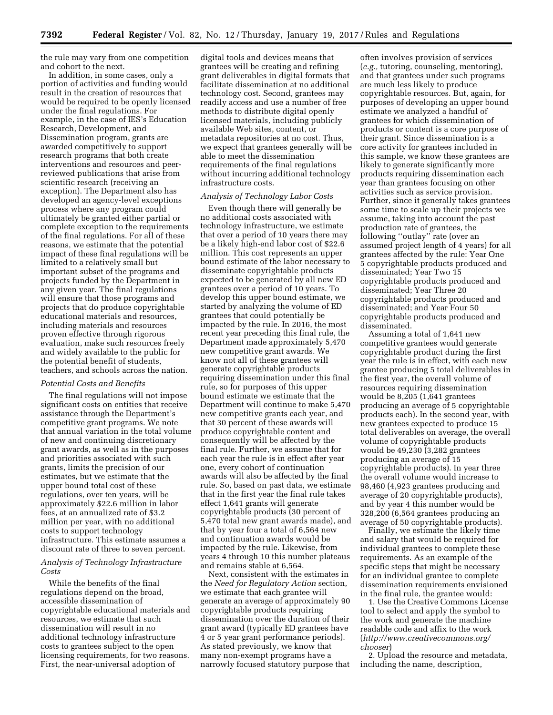the rule may vary from one competition and cohort to the next.

In addition, in some cases, only a portion of activities and funding would result in the creation of resources that would be required to be openly licensed under the final regulations. For example, in the case of IES's Education Research, Development, and Dissemination program, grants are awarded competitively to support research programs that both create interventions and resources and peerreviewed publications that arise from scientific research (receiving an exception). The Department also has developed an agency-level exceptions process where any program could ultimately be granted either partial or complete exception to the requirements of the final regulations. For all of these reasons, we estimate that the potential impact of these final regulations will be limited to a relatively small but important subset of the programs and projects funded by the Department in any given year. The final regulations will ensure that those programs and projects that do produce copyrightable educational materials and resources, including materials and resources proven effective through rigorous evaluation, make such resources freely and widely available to the public for the potential benefit of students, teachers, and schools across the nation.

### *Potential Costs and Benefits*

The final regulations will not impose significant costs on entities that receive assistance through the Department's competitive grant programs. We note that annual variation in the total volume of new and continuing discretionary grant awards, as well as in the purposes and priorities associated with such grants, limits the precision of our estimates, but we estimate that the upper bound total cost of these regulations, over ten years, will be approximately \$22.6 million in labor fees, at an annualized rate of \$3.2 million per year, with no additional costs to support technology infrastructure. This estimate assumes a discount rate of three to seven percent.

*Analysis of Technology Infrastructure Costs* 

While the benefits of the final regulations depend on the broad, accessible dissemination of copyrightable educational materials and resources, we estimate that such dissemination will result in no additional technology infrastructure costs to grantees subject to the open licensing requirements, for two reasons. First, the near-universal adoption of

digital tools and devices means that grantees will be creating and refining grant deliverables in digital formats that facilitate dissemination at no additional technology cost. Second, grantees may readily access and use a number of free methods to distribute digital openly licensed materials, including publicly available Web sites, content, or metadata repositories at no cost. Thus, we expect that grantees generally will be able to meet the dissemination requirements of the final regulations without incurring additional technology infrastructure costs.

# *Analysis of Technology Labor Costs*

Even though there will generally be no additional costs associated with technology infrastructure, we estimate that over a period of 10 years there may be a likely high-end labor cost of \$22.6 million. This cost represents an upper bound estimate of the labor necessary to disseminate copyrightable products expected to be generated by all new ED grantees over a period of 10 years. To develop this upper bound estimate, we started by analyzing the volume of ED grantees that could potentially be impacted by the rule. In 2016, the most recent year preceding this final rule, the Department made approximately 5,470 new competitive grant awards. We know not all of these grantees will generate copyrightable products requiring dissemination under this final rule, so for purposes of this upper bound estimate we estimate that the Department will continue to make 5,470 new competitive grants each year, and that 30 percent of these awards will produce copyrightable content and consequently will be affected by the final rule. Further, we assume that for each year the rule is in effect after year one, every cohort of continuation awards will also be affected by the final rule. So, based on past data, we estimate that in the first year the final rule takes effect 1,641 grants will generate copyrightable products (30 percent of 5,470 total new grant awards made), and that by year four a total of 6,564 new and continuation awards would be impacted by the rule. Likewise, from years 4 through 10 this number plateaus and remains stable at 6,564.

Next, consistent with the estimates in the *Need for Regulatory Action* section, we estimate that each grantee will generate an average of approximately 90 copyrightable products requiring dissemination over the duration of their grant award (typically ED grantees have 4 or 5 year grant performance periods). As stated previously, we know that many non-exempt programs have a narrowly focused statutory purpose that

often involves provision of services (*e.g.,* tutoring, counseling, mentoring), and that grantees under such programs are much less likely to produce copyrightable resources. But, again, for purposes of developing an upper bound estimate we analyzed a handful of grantees for which dissemination of products or content is a core purpose of their grant. Since dissemination is a core activity for grantees included in this sample, we know these grantees are likely to generate significantly more products requiring dissemination each year than grantees focusing on other activities such as service provision. Further, since it generally takes grantees some time to scale up their projects we assume, taking into account the past production rate of grantees, the following ''outlay'' rate (over an assumed project length of 4 years) for all grantees affected by the rule: Year One 5 copyrightable products produced and disseminated; Year Two 15 copyrightable products produced and disseminated; Year Three 20 copyrightable products produced and disseminated; and Year Four 50 copyrightable products produced and disseminated.

Assuming a total of 1,641 new competitive grantees would generate copyrightable product during the first year the rule is in effect, with each new grantee producing 5 total deliverables in the first year, the overall volume of resources requiring dissemination would be 8,205 (1,641 grantees producing an average of 5 copyrightable products each). In the second year, with new grantees expected to produce 15 total deliverables on average, the overall volume of copyrightable products would be 49,230 (3,282 grantees producing an average of 15 copyrightable products). In year three the overall volume would increase to 98,460 (4,923 grantees producing and average of 20 copyrightable products), and by year 4 this number would be 328,200 (6,564 grantees producing an average of 50 copyrightable products).

Finally, we estimate the likely time and salary that would be required for individual grantees to complete these requirements. As an example of the specific steps that might be necessary for an individual grantee to complete dissemination requirements envisioned in the final rule, the grantee would:

1. Use the Creative Commons License tool to select and apply the symbol to the work and generate the machine readable code and affix to the work (*[http://www.creativecommons.org/](http://www.creativecommons.org/chooser) [chooser](http://www.creativecommons.org/chooser)*)

2. Upload the resource and metadata, including the name, description,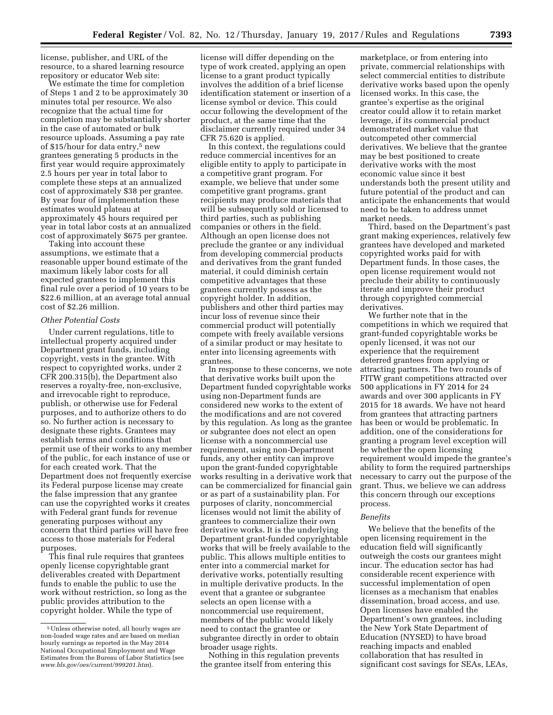license, publisher, and URL of the resource, to a shared learning resource repository or educator Web site:

We estimate the time for completion of Steps 1 and 2 to be approximately 30 minutes total per resource. We also recognize that the actual time for completion may be substantially shorter in the case of automated or bulk resource uploads. Assuming a pay rate of \$15/hour for data entry,<sup>5</sup> new grantees generating 5 products in the first year would require approximately 2.5 hours per year in total labor to complete these steps at an annualized cost of approximately \$38 per grantee. By year four of implementation these estimates would plateau at approximately 45 hours required per year in total labor costs at an annualized cost of approximately \$675 per grantee.

Taking into account these assumptions, we estimate that a reasonable upper bound estimate of the maximum likely labor costs for all expected grantees to implement this final rule over a period of 10 years to be \$22.6 million, at an average total annual cost of \$2.26 million.

#### *Other Potential Costs*

Under current regulations, title to intellectual property acquired under Department grant funds, including copyright, vests in the grantee. With respect to copyrighted works, under 2 CFR 200.315(b), the Department also reserves a royalty-free, non-exclusive, and irrevocable right to reproduce, publish, or otherwise use for Federal purposes, and to authorize others to do so. No further action is necessary to designate these rights. Grantees may establish terms and conditions that permit use of their works to any member of the public, for each instance of use or for each created work. That the Department does not frequently exercise its Federal purpose license may create the false impression that any grantee can use the copyrighted works it creates with Federal grant funds for revenue generating purposes without any concern that third parties will have free access to those materials for Federal purposes.

This final rule requires that grantees openly license copyrightable grant deliverables created with Department funds to enable the public to use the work without restriction, so long as the public provides attribution to the copyright holder. While the type of

license will differ depending on the type of work created, applying an open license to a grant product typically involves the addition of a brief license identification statement or insertion of a license symbol or device. This could occur following the development of the product, at the same time that the disclaimer currently required under 34 CFR 75.620 is applied.

In this context, the regulations could reduce commercial incentives for an eligible entity to apply to participate in a competitive grant program. For example, we believe that under some competitive grant programs, grant recipients may produce materials that will be subsequently sold or licensed to third parties, such as publishing companies or others in the field. Although an open license does not preclude the grantee or any individual from developing commercial products and derivatives from the grant funded material, it could diminish certain competitive advantages that these grantees currently possess as the copyright holder. In addition, publishers and other third parties may incur loss of revenue since their commercial product will potentially compete with freely available versions of a similar product or may hesitate to enter into licensing agreements with grantees.

In response to these concerns, we note that derivative works built upon the Department funded copyrightable works using non-Department funds are considered new works to the extent of the modifications and are not covered by this regulation. As long as the grantee or subgrantee does not elect an open license with a noncommercial use requirement, using non-Department funds, any other entity can improve upon the grant-funded copyrightable works resulting in a derivative work that can be commercialized for financial gain or as part of a sustainability plan. For purposes of clarity, noncommercial licenses would not limit the ability of grantees to commercialize their own derivative works. It is the underlying Department grant-funded copyrightable works that will be freely available to the public. This allows multiple entities to enter into a commercial market for derivative works, potentially resulting in multiple derivative products. In the event that a grantee or subgrantee selects an open license with a noncommercial use requirement, members of the public would likely need to contact the grantee or subgrantee directly in order to obtain broader usage rights.

Nothing in this regulation prevents the grantee itself from entering this

marketplace, or from entering into private, commercial relationships with select commercial entities to distribute derivative works based upon the openly licensed works. In this case, the grantee's expertise as the original creator could allow it to retain market leverage, if its commercial product demonstrated market value that outcompeted other commercial derivatives. We believe that the grantee may be best positioned to create derivative works with the most economic value since it best understands both the present utility and future potential of the product and can anticipate the enhancements that would need to be taken to address unmet market needs.

Third, based on the Department's past grant making experiences, relatively few grantees have developed and marketed copyrighted works paid for with Department funds. In those cases, the open license requirement would not preclude their ability to continuously iterate and improve their product through copyrighted commercial derivatives.

We further note that in the competitions in which we required that grant-funded copyrightable works be openly licensed, it was not our experience that the requirement deterred grantees from applying or attracting partners. The two rounds of FITW grant competitions attracted over 500 applications in FY 2014 for 24 awards and over 300 applicants in FY 2015 for 18 awards. We have not heard from grantees that attracting partners has been or would be problematic. In addition, one of the considerations for granting a program level exception will be whether the open licensing requirement would impede the grantee's ability to form the required partnerships necessary to carry out the purpose of the grant. Thus, we believe we can address this concern through our exceptions process.

# *Benefits*

We believe that the benefits of the open licensing requirement in the education field will significantly outweigh the costs our grantees might incur. The education sector has had considerable recent experience with successful implementation of open licenses as a mechanism that enables dissemination, broad access, and use. Open licenses have enabled the Department's own grantees, including the New York State Department of Education (NYSED) to have broad reaching impacts and enabled collaboration that has resulted in significant cost savings for SEAs, LEAs,

<sup>5</sup>Unless otherwise noted, all hourly wages are non-loaded wage rates and are based on median hourly earnings as reported in the May 2014 National Occupational Employment and Wage Estimates from the Bureau of Labor Statistics (see *[www.bls.gov/oes/current/999201.htm](http://www.bls.gov/oes/current/999201.htm)*).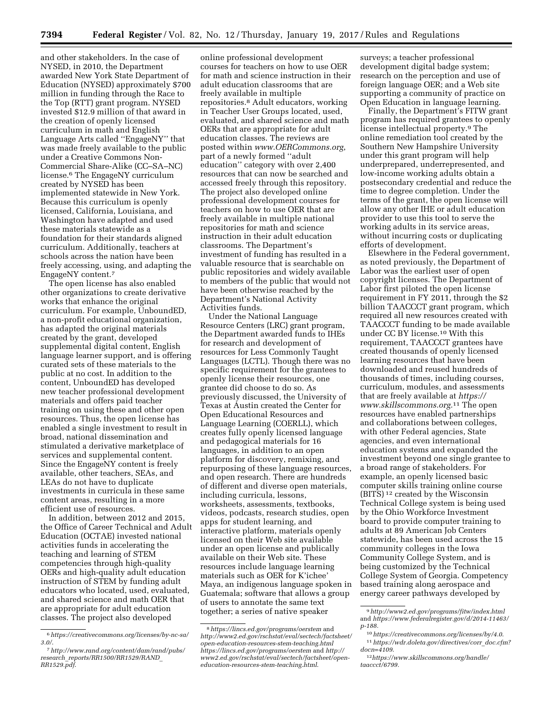and other stakeholders. In the case of NYSED, in 2010, the Department awarded New York State Department of Education (NYSED) approximately \$700 million in funding through the Race to the Top (RTT) grant program. NYSED invested \$12.9 million of that award in the creation of openly licensed curriculum in math and English Language Arts called ''EngageNY'' that was made freely available to the public under a Creative Commons Non-Commercial Share-Alike (CC–SA–NC) license.6 The EngageNY curriculum created by NYSED has been implemented statewide in New York. Because this curriculum is openly licensed, California, Louisiana, and Washington have adapted and used these materials statewide as a foundation for their standards aligned curriculum. Additionally, teachers at schools across the nation have been freely accessing, using, and adapting the EngageNY content.7

The open license has also enabled other organizations to create derivative works that enhance the original curriculum. For example, UnboundED, a non-profit educational organization, has adapted the original materials created by the grant, developed supplemental digital content, English language learner support, and is offering curated sets of these materials to the public at no cost. In addition to the content, UnboundED has developed new teacher professional development materials and offers paid teacher training on using these and other open resources. Thus, the open license has enabled a single investment to result in broad, national dissemination and stimulated a derivative marketplace of services and supplemental content. Since the EngageNY content is freely available, other teachers, SEAs, and LEAs do not have to duplicate investments in curricula in these same content areas, resulting in a more efficient use of resources.

In addition, between 2012 and 2015, the Office of Career Technical and Adult Education (OCTAE) invested national activities funds in accelerating the teaching and learning of STEM competencies through high-quality OERs and high-quality adult education instruction of STEM by funding adult educators who located, used, evaluated, and shared science and math OER that are appropriate for adult education classes. The project also developed

online professional development courses for teachers on how to use OER for math and science instruction in their adult education classrooms that are freely available in multiple repositories.8 Adult educators, working in Teacher User Groups located, used, evaluated, and shared science and math OERs that are appropriate for adult education classes. The reviews are posted within *[www.OERCommons.org](http://www.OERCommons.org)*, part of a newly formed ''adult education'' category with over 2,400 resources that can now be searched and accessed freely through this repository. The project also developed online professional development courses for teachers on how to use OER that are freely available in multiple national repositories for math and science instruction in their adult education classrooms. The Department's investment of funding has resulted in a valuable resource that is searchable on public repositories and widely available to members of the public that would not have been otherwise reached by the Department's National Activity Activities funds.

Under the National Language Resource Centers (LRC) grant program, the Department awarded funds to IHEs for research and development of resources for Less Commonly Taught Languages (LCTL). Though there was no specific requirement for the grantees to openly license their resources, one grantee did choose to do so. As previously discussed, the University of Texas at Austin created the Center for Open Educational Resources and Language Learning (COERLL), which creates fully openly licensed language and pedagogical materials for 16 languages, in addition to an open platform for discovery, remixing, and repurposing of these language resources, and open research. There are hundreds of different and diverse open materials, including curricula, lessons, worksheets, assessments, textbooks, videos, podcasts, research studies, open apps for student learning, and interactive platform, materials openly licensed on their Web site available under an open license and publically available on their Web site. These resources include language learning materials such as OER for K'ichee' Maya, an indigenous language spoken in Guatemala; software that allows a group of users to annotate the same text together; a series of native speaker

surveys; a teacher professional development digital badge system; research on the perception and use of foreign language OER; and a Web site supporting a community of practice on Open Education in language learning.

Finally, the Department's FITW grant program has required grantees to openly license intellectual property.9 The online remediation tool created by the Southern New Hampshire University under this grant program will help underprepared, underrepresented, and low-income working adults obtain a postsecondary credential and reduce the time to degree completion. Under the terms of the grant, the open license will allow any other IHE or adult education provider to use this tool to serve the working adults in its service areas, without incurring costs or duplicating efforts of development.

Elsewhere in the Federal government, as noted previously, the Department of Labor was the earliest user of open copyright licenses. The Department of Labor first piloted the open license requirement in FY 2011, through the \$2 billion TAACCCT grant program, which required all new resources created with TAACCCT funding to be made available under CC BY license.10 With this requirement, TAACCCT grantees have created thousands of openly licensed learning resources that have been downloaded and reused hundreds of thousands of times, including courses, curriculum, modules, and assessments that are freely available at *[https://](https://www.skillscommons.org) [www.skillscommons.org.](https://www.skillscommons.org)*11 The open resources have enabled partnerships and collaborations between colleges, with other Federal agencies, State agencies, and even international education systems and expanded the investment beyond one single grantee to a broad range of stakeholders. For example, an openly licensed basic computer skills training online course (BITS) 12 created by the Wisconsin Technical College system is being used by the Ohio Workforce Investment board to provide computer training to adults at 89 American Job Centers statewide, has been used across the 15 community colleges in the Iowa Community College System, and is being customized by the Technical College System of Georgia. Competency based training along aerospace and energy career pathways developed by

<sup>6</sup>*[https://creativecommons.org/licenses/by-nc-sa/](https://creativecommons.org/licenses/by-nc-sa/3.0/)  [3.0/](https://creativecommons.org/licenses/by-nc-sa/3.0/)*.

<sup>7</sup>*[http://www.rand.org/content/dam/rand/pubs/](http://www.rand.org/content/dam/rand/pubs/research_reports/RR1500/RR1529/RAND_RR1529.pdf)  research*\_*[reports/RR1500/RR1529/RAND](http://www.rand.org/content/dam/rand/pubs/research_reports/RR1500/RR1529/RAND_RR1529.pdf)*\_ *[RR1529.pdf](http://www.rand.org/content/dam/rand/pubs/research_reports/RR1500/RR1529/RAND_RR1529.pdf)*.

<sup>8</sup>*<https://lincs.ed.gov/programs/oerstem>* and *[http://www2.ed.gov/rschstat/eval/sectech/factsheet/](http://www2.ed.gov/rschstat/eval/sectech/factsheet/open-education-resources-stem-teaching.html)  open-education-resources-stem-teaching.html <https://lincs.ed.gov/programs/oerstem>*and *[http://](http://www2.ed.gov/rschstat/eval/sectech/factsheet/open-education-resources-stem-teaching.html) [www2.ed.gov/rschstat/eval/sectech/factsheet/open](http://www2.ed.gov/rschstat/eval/sectech/factsheet/open-education-resources-stem-teaching.html)[education-resources-stem-teaching.html](http://www2.ed.gov/rschstat/eval/sectech/factsheet/open-education-resources-stem-teaching.html)*.

<sup>9</sup>*<http://www2.ed.gov/programs/fitw/index.html>*  and *[https://www.federalregister.gov/d/2014-11463/](https://www.federalregister.gov/d/2014-11463/p-188) [p-188.](https://www.federalregister.gov/d/2014-11463/p-188)* 

<sup>10</sup>*<https://creativecommons.org/licenses/by/4.0>*. 11*[https://wdr.doleta.gov/directives/corr](https://wdr.doleta.gov/directives/corr_doc.cfm?docn=4109)*\_*doc.cfm? [docn=4109](https://wdr.doleta.gov/directives/corr_doc.cfm?docn=4109)*.

<sup>12</sup>*[https://www.skillscommons.org/handle/](https://www.skillscommons.org/handle/taaccct/6799) [taaccct/6799.](https://www.skillscommons.org/handle/taaccct/6799)*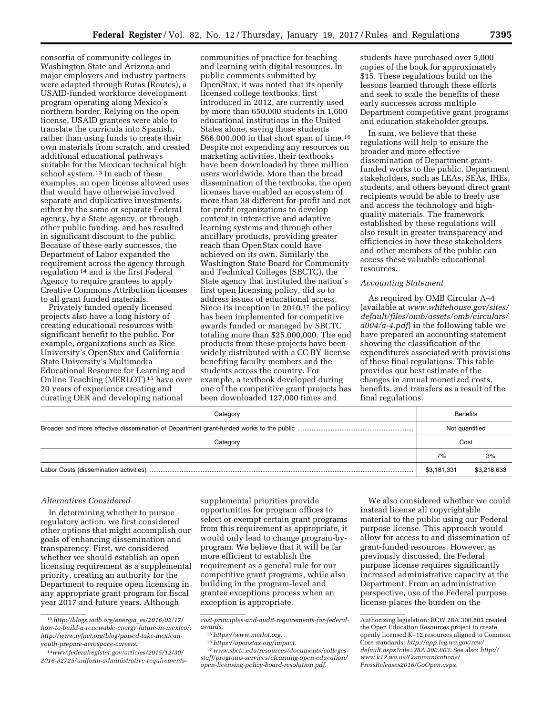consortia of community colleges in Washington State and Arizona and major employers and industry partners were adapted through Rutas (Routes), a USAID-funded workforce development program operating along Mexico's northern border. Relying on the open license, USAID grantees were able to translate the curricula into Spanish, rather than using funds to create their own materials from scratch, and created additional educational pathways suitable for the Mexican technical high school system.13 In each of these examples, an open license allowed uses that would have otherwise involved separate and duplicative investments, either by the same or separate Federal agency, by a State agency, or through other public funding, and has resulted in significant discount to the public. Because of these early successes, the Department of Labor expanded the requirement across the agency through regulation 14 and is the first Federal Agency to require grantees to apply Creative Commons Attribution licenses to all grant funded materials.

Privately funded openly licensed projects also have a long history of creating educational resources with significant benefit to the public. For example, organizations such as Rice University's OpenStax and California State University's Multimedia Educational Resource for Learning and Online Teaching (MERLOT) 15 have over 20 years of experience creating and curating OER and developing national

communities of practice for teaching and learning with digital resources. In public comments submitted by OpenStax, it was noted that its openly licensed college textbooks, first introduced in 2012, are currently used by more than 650,000 students in 1,600 educational institutions in the United States alone, saving those students \$66,000,000 in that short span of time.16 Despite not expending any resources on marketing activities, their textbooks have been downloaded by three million users worldwide. More than the broad dissemination of the textbooks, the open licenses have enabled an ecosystem of more than 38 different for-profit and not for-profit organizations to develop content in interactive and adaptive learning systems and through other ancillary products, providing greater reach than OpenStax could have achieved on its own. Similarly the Washington State Board for Community and Technical Colleges (SBCTC), the State agency that instituted the nation's first open licensing policy, did so to address issues of educational access. Since its inception in 2010,<sup>17</sup> the policy has been implemented for competitive awards funded or managed by SBCTC totaling more than \$25,000,000. The end products from these projects have been widely distributed with a CC BY license benefiting faculty members and the students across the country. For example, a textbook developed during one of the competitive grant projects has been downloaded 127,000 times and

students have purchased over 5,000 copies of the book for approximately \$15. These regulations build on the lessons learned through these efforts and seek to scale the benefits of these early successes across multiple Department competitive grant programs and education stakeholder groups.

In sum, we believe that these regulations will help to ensure the broader and more effective dissemination of Department grantfunded works to the public. Department stakeholders, such as LEAs, SEAs, IHEs, students, and others beyond direct grant recipients would be able to freely use and access the technology and highquality materials. The framework established by these regulations will also result in greater transparency and efficiencies in how these stakeholders and other members of the public can access these valuable educational resources.

### *Accounting Statement*

As required by OMB Circular A–4 (available at *[www.whitehouse.gov/sites/](http://www.whitehouse.gov/sites/default/files/omb/assets/omb/circulars/a004/a-4.pdf)  [default/files/omb/assets/omb/circulars/](http://www.whitehouse.gov/sites/default/files/omb/assets/omb/circulars/a004/a-4.pdf) [a004/a-4.pdf](http://www.whitehouse.gov/sites/default/files/omb/assets/omb/circulars/a004/a-4.pdf)*) in the following table we have prepared an accounting statement showing the classification of the expenditures associated with provisions of these final regulations. This table provides our best estimate of the changes in annual monetized costs, benefits, and transfers as a result of the final regulations.

| <b>Benefits</b> |             |
|-----------------|-------------|
| Not quantified  |             |
| Cost            |             |
| 7%              | 3%          |
| \$3,181,331     | \$3,218,633 |
|                 |             |

## *Alternatives Considered*

In determining whether to pursue regulatory action, we first considered other options that might accomplish our goals of enhancing dissemination and transparency. First, we considered whether we should establish an open licensing requirement as a supplemental priority, creating an authority for the Department to require open licensing in any appropriate grant program for fiscal year 2017 and future years. Although

supplemental priorities provide opportunities for program offices to select or exempt certain grant programs from this requirement as appropriate, it would only lead to change program-byprogram. We believe that it will be far more efficient to establish the requirement as a general rule for our competitive grant programs, while also building in the program-level and grantee exceptions process when an exception is appropriate.

We also considered whether we could instead license all copyrightable material to the public using our Federal purpose license. This approach would allow for access to and dissemination of grant-funded resources. However, as previously discussed, the Federal purpose license requires significantly increased administrative capacity at the Department. From an administrative perspective, use of the Federal purpose license places the burden on the

<sup>13</sup>*[http://blogs.iadb.org/energia](http://blogs.iadb.org/energia_es/2016/02/17/how-to-build-a-renewable-energy-future-in-mexico/)*\_*es/2016/02/17/ [how-to-build-a-renewable-energy-future-in-mexico/](http://blogs.iadb.org/energia_es/2016/02/17/how-to-build-a-renewable-energy-future-in-mexico/)*; *[http://www.iyfnet.org/blog/poised-take-mexican](http://www.iyfnet.org/blog/poised-take-mexican-youth-prepare-aerospace-careers)[youth-prepare-aerospace-careers](http://www.iyfnet.org/blog/poised-take-mexican-youth-prepare-aerospace-careers)*.

<sup>14</sup>*[www.federalregister.gov/articles/2015/12/30/](http://www.federalregister.gov/articles/2015/12/30/2016-32725/uniform-administrative-requirements-cost-principles-and-audit-requirements-for-federal-awards)  [2016-32725/uniform-administrative-requirements-](http://www.federalregister.gov/articles/2015/12/30/2016-32725/uniform-administrative-requirements-cost-principles-and-audit-requirements-for-federal-awards)*

*[cost-principles-and-audit-requirements-for-federal](http://www.federalregister.gov/articles/2015/12/30/2016-32725/uniform-administrative-requirements-cost-principles-and-audit-requirements-for-federal-awards)[awards.](http://www.federalregister.gov/articles/2015/12/30/2016-32725/uniform-administrative-requirements-cost-principles-and-audit-requirements-for-federal-awards)* 

<sup>15</sup>*https://www.merlot.org*[.](https://www.merlot.org) 16*https://openstax.org/impact*[.](https://openstax.org/impact) 17*[www.sbctc.edu/resources/documents/colleges](http://www.sbctc.edu/resources/documents/colleges-staff/programs-services/elearning-open-education/open-licensing-policy-board-resolution.pdf)[staff/programs-services/elearning-open-education/](http://www.sbctc.edu/resources/documents/colleges-staff/programs-services/elearning-open-education/open-licensing-policy-board-resolution.pdf)  [open-licensing-policy-board-resolution.pdf](http://www.sbctc.edu/resources/documents/colleges-staff/programs-services/elearning-open-education/open-licensing-policy-board-resolution.pdf)*.

Authorizing legislation: RCW 28A.300.803 created the Open Education Resources project to create openly licensed K–12 resources aligned to Common Core standards: *[http://app.leg.wa.gov/rcw/](http://app.leg.wa.gov/rcw/default.aspx?cite=28A.300.803)  [default.aspx?cite=28A.300.803](http://app.leg.wa.gov/rcw/default.aspx?cite=28A.300.803)*. See also: *[http://](http://www.k12.wa.us/Communications/PressReleases2016/GoOpen.aspx)  [www.k12.wa.us/Communications/](http://www.k12.wa.us/Communications/PressReleases2016/GoOpen.aspx) [PressReleases2016/GoOpen.aspx](http://www.k12.wa.us/Communications/PressReleases2016/GoOpen.aspx)*.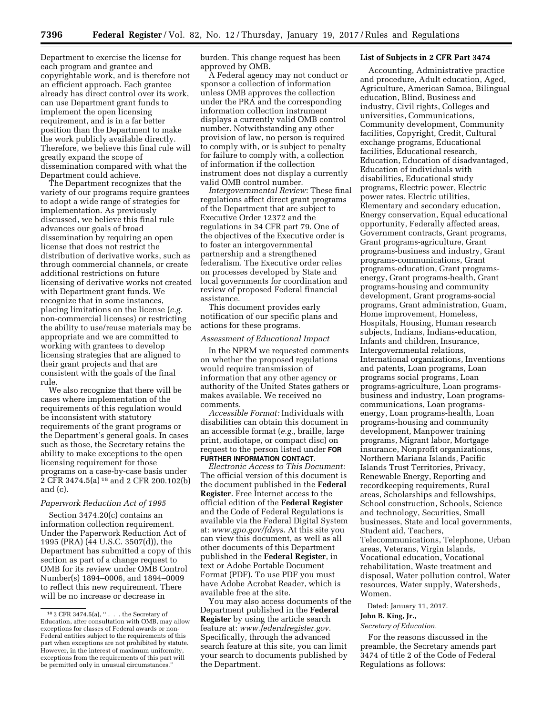Department to exercise the license for each program and grantee and copyrightable work, and is therefore not an efficient approach. Each grantee already has direct control over its work, can use Department grant funds to implement the open licensing requirement, and is in a far better position than the Department to make the work publicly available directly. Therefore, we believe this final rule will greatly expand the scope of dissemination compared with what the Department could achieve.

The Department recognizes that the variety of our programs require grantees to adopt a wide range of strategies for implementation. As previously discussed, we believe this final rule advances our goals of broad dissemination by requiring an open license that does not restrict the distribution of derivative works, such as through commercial channels, or create additional restrictions on future licensing of derivative works not created with Department grant funds. We recognize that in some instances, placing limitations on the license (*e.g.*  non-commercial licenses) or restricting the ability to use/reuse materials may be appropriate and we are committed to working with grantees to develop licensing strategies that are aligned to their grant projects and that are consistent with the goals of the final rule.

We also recognize that there will be cases where implementation of the requirements of this regulation would be inconsistent with statutory requirements of the grant programs or the Department's general goals. In cases such as those, the Secretary retains the ability to make exceptions to the open licensing requirement for those programs on a case-by-case basis under 2 CFR 3474.5(a) 18 and 2 CFR 200.102(b) and (c).

## *Paperwork Reduction Act of 1995*

Section 3474.20(c) contains an information collection requirement. Under the Paperwork Reduction Act of 1995 (PRA) (44 U.S.C. 3507(d)), the Department has submitted a copy of this section as part of a change request to OMB for its review under OMB Control Number(s) 1894–0006, and 1894–0009 to reflect this new requirement. There will be no increase or decrease in

burden. This change request has been approved by OMB.

A Federal agency may not conduct or sponsor a collection of information unless OMB approves the collection under the PRA and the corresponding information collection instrument displays a currently valid OMB control number. Notwithstanding any other provision of law, no person is required to comply with, or is subject to penalty for failure to comply with, a collection of information if the collection instrument does not display a currently valid OMB control number.

*Intergovernmental Review:* These final regulations affect direct grant programs of the Department that are subject to Executive Order 12372 and the regulations in 34 CFR part 79. One of the objectives of the Executive order is to foster an intergovernmental partnership and a strengthened federalism. The Executive order relies on processes developed by State and local governments for coordination and review of proposed Federal financial assistance.

This document provides early notification of our specific plans and actions for these programs.

### *Assessment of Educational Impact*

In the NPRM we requested comments on whether the proposed regulations would require transmission of information that any other agency or authority of the United States gathers or makes available. We received no comments.

*Accessible Format:* Individuals with disabilities can obtain this document in an accessible format (*e.g.,* braille, large print, audiotape, or compact disc) on request to the person listed under **FOR FURTHER INFORMATION CONTACT**.

*Electronic Access to This Document:*  The official version of this document is the document published in the **Federal Register**. Free Internet access to the official edition of the **Federal Register**  and the Code of Federal Regulations is available via the Federal Digital System at: *[www.gpo.gov/fdsys](http://www.gpo.gov/fdsys)*. At this site you can view this document, as well as all other documents of this Department published in the **Federal Register**, in text or Adobe Portable Document Format (PDF). To use PDF you must have Adobe Acrobat Reader, which is available free at the site.

You may also access documents of the Department published in the **Federal Register** by using the article search feature at: *[www.federalregister.gov](http://www.federalregister.gov)*. Specifically, through the advanced search feature at this site, you can limit your search to documents published by the Department.

#### **List of Subjects in 2 CFR Part 3474**

Accounting, Administrative practice and procedure, Adult education, Aged, Agriculture, American Samoa, Bilingual education, Blind, Business and industry, Civil rights, Colleges and universities, Communications, Community development, Community facilities, Copyright, Credit, Cultural exchange programs, Educational facilities, Educational research, Education, Education of disadvantaged, Education of individuals with disabilities, Educational study programs, Electric power, Electric power rates, Electric utilities, Elementary and secondary education, Energy conservation, Equal educational opportunity, Federally affected areas, Government contracts, Grant programs, Grant programs-agriculture, Grant programs-business and industry, Grant programs-communications, Grant programs-education, Grant programsenergy, Grant programs-health, Grant programs-housing and community development, Grant programs-social programs, Grant administration, Guam, Home improvement, Homeless, Hospitals, Housing, Human research subjects, Indians, Indians-education, Infants and children, Insurance, Intergovernmental relations, International organizations, Inventions and patents, Loan programs, Loan programs social programs, Loan programs-agriculture, Loan programsbusiness and industry, Loan programscommunications, Loan programsenergy, Loan programs-health, Loan programs-housing and community development, Manpower training programs, Migrant labor, Mortgage insurance, Nonprofit organizations, Northern Mariana Islands, Pacific Islands Trust Territories, Privacy, Renewable Energy, Reporting and recordkeeping requirements, Rural areas, Scholarships and fellowships, School construction, Schools, Science and technology, Securities, Small businesses, State and local governments, Student aid, Teachers, Telecommunications, Telephone, Urban areas, Veterans, Virgin Islands, Vocational education, Vocational rehabilitation, Waste treatment and disposal, Water pollution control, Water resources, Water supply, Watersheds, Women.

Dated: January 11, 2017.

# **John B. King, Jr.,**

*Secretary of Education.* 

For the reasons discussed in the preamble, the Secretary amends part 3474 of title 2 of the Code of Federal Regulations as follows:

 $^{18}$  2 CFR 3474.5(a),  $^{\prime\prime}$  . . . the Secretary of Education, after consultation with OMB, may allow exceptions for classes of Federal awards or non-Federal entities subject to the requirements of this part when exceptions are not prohibited by statute. However, in the interest of maximum uniformity, exceptions from the requirements of this part will be permitted only in unusual circumstances.''